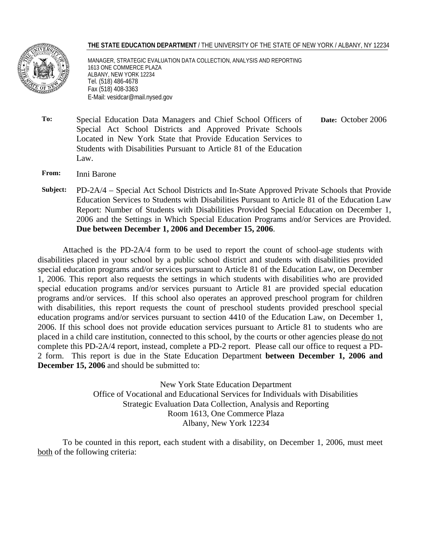#### **THE STATE EDUCATION DEPARTMENT** / THE UNIVERSITY OF THE STATE OF NEW YORK / ALBANY, NY 12234



MANAGER, STRATEGIC EVALUATION DATA COLLECTION, ANALYSIS AND REPORTING 1613 ONE COMMERCE PLAZA ALBANY, NEW YORK 12234 Tel. (518) 486-4678 Fax (518) 408-3363 E-Mail: vesidcar@mail.nysed.gov

- **To:** Special Education Data Managers and Chief School Officers of Special Act School Districts and Approved Private Schools Located in New York State that Provide Education Services to Students with Disabilities Pursuant to Article 81 of the Education Law.  **Date:** October 2006
- **From:** Inni Barone
- **Subject:** PD-2A/4 Special Act School Districts and In-State Approved Private Schools that Provide Education Services to Students with Disabilities Pursuant to Article 81 of the Education Law Report: Number of Students with Disabilities Provided Special Education on December 1, 2006 and the Settings in Which Special Education Programs and/or Services are Provided. **Due between December 1, 2006 and December 15, 2006**.

Attached is the PD-2A/4 form to be used to report the count of school-age students with disabilities placed in your school by a public school district and students with disabilities provided special education programs and/or services pursuant to Article 81 of the Education Law, on December 1, 2006. This report also requests the settings in which students with disabilities who are provided special education programs and/or services pursuant to Article 81 are provided special education programs and/or services. If this school also operates an approved preschool program for children with disabilities, this report requests the count of preschool students provided preschool special education programs and/or services pursuant to section 4410 of the Education Law, on December 1, 2006. If this school does not provide education services pursuant to Article 81 to students who are placed in a child care institution, connected to this school, by the courts or other agencies please do not complete this PD-2A/4 report, instead, complete a PD-2 report. Please call our office to request a PD-2 form. This report is due in the State Education Department **between December 1, 2006 and December 15, 2006** and should be submitted to:

> New York State Education Department Office of Vocational and Educational Services for Individuals with Disabilities Strategic Evaluation Data Collection, Analysis and Reporting Room 1613, One Commerce Plaza Albany, New York 12234

To be counted in this report, each student with a disability, on December 1, 2006, must meet both of the following criteria: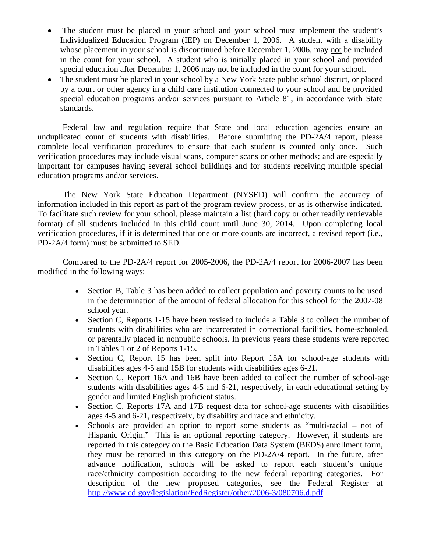- The student must be placed in your school and your school must implement the student's Individualized Education Program (IEP) on December 1, 2006. A student with a disability whose placement in your school is discontinued before December 1, 2006, may not be included in the count for your school. A student who is initially placed in your school and provided special education after December 1, 2006 may not be included in the count for your school.
- The student must be placed in your school by a New York State public school district, or placed by a court or other agency in a child care institution connected to your school and be provided special education programs and/or services pursuant to Article 81, in accordance with State standards.

Federal law and regulation require that State and local education agencies ensure an unduplicated count of students with disabilities. Before submitting the PD-2A/4 report, please complete local verification procedures to ensure that each student is counted only once. Such verification procedures may include visual scans, computer scans or other methods; and are especially important for campuses having several school buildings and for students receiving multiple special education programs and/or services.

The New York State Education Department (NYSED) will confirm the accuracy of information included in this report as part of the program review process, or as is otherwise indicated. To facilitate such review for your school, please maintain a list (hard copy or other readily retrievable format) of all students included in this child count until June 30, 2014. Upon completing local verification procedures, if it is determined that one or more counts are incorrect, a revised report (i.e., PD-2A/4 form) must be submitted to SED.

Compared to the PD-2A/4 report for 2005-2006, the PD-2A/4 report for 2006-2007 has been modified in the following ways:

- Section B, Table 3 has been added to collect population and poverty counts to be used in the determination of the amount of federal allocation for this school for the 2007-08 school year.
- Section C, Reports 1-15 have been revised to include a Table 3 to collect the number of students with disabilities who are incarcerated in correctional facilities, home-schooled, or parentally placed in nonpublic schools. In previous years these students were reported in Tables 1 or 2 of Reports 1-15.
- Section C, Report 15 has been split into Report 15A for school-age students with disabilities ages 4-5 and 15B for students with disabilities ages 6-21.
- Section C, Report 16A and 16B have been added to collect the number of school-age students with disabilities ages 4-5 and 6-21, respectively, in each educational setting by gender and limited English proficient status.
- Section C, Reports 17A and 17B request data for school-age students with disabilities ages 4-5 and 6-21, respectively, by disability and race and ethnicity.
- Schools are provided an option to report some students as "multi-racial not of Hispanic Origin." This is an optional reporting category. However, if students are reported in this category on the Basic Education Data System (BEDS) enrollment form, they must be reported in this category on the PD-2A/4 report. In the future, after advance notification, schools will be asked to report each student's unique race/ethnicity composition according to the new federal reporting categories. For description of the new proposed categories, see the Federal Register at http://www.ed.gov/legislation/FedRegister/other/2006-3/080706.d.pdf.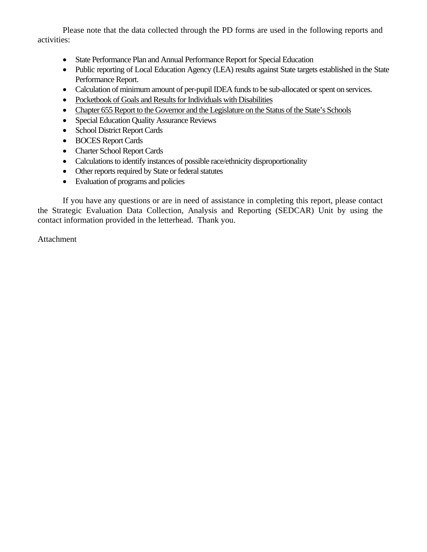Please note that the data collected through the PD forms are used in the following reports and activities:

- State Performance Plan and Annual Performance Report for Special Education
- Public reporting of Local Education Agency (LEA) results against State targets established in the State Performance Report.
- Calculation of minimum amount of per-pupil IDEA funds to be sub-allocated or spent on services.
- Pocketbook of Goals and Results for Individuals with Disabilities
- Chapter 655 Report to the Governor and the Legislature on the Status of the State's Schools
- Special Education Quality Assurance Reviews
- School District Report Cards
- BOCES Report Cards
- Charter School Report Cards
- Calculations to identify instances of possible race/ethnicity disproportionality
- Other reports required by State or federal statutes
- Evaluation of programs and policies

If you have any questions or are in need of assistance in completing this report, please contact the Strategic Evaluation Data Collection, Analysis and Reporting (SEDCAR) Unit by using the contact information provided in the letterhead. Thank you.

Attachment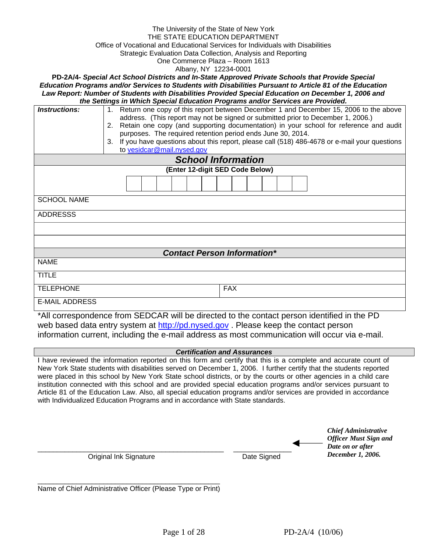#### The University of the State of New York THE STATE EDUCATION DEPARTMENT Office of Vocational and Educational Services for Individuals with Disabilities Strategic Evaluation Data Collection, Analysis and Reporting One Commerce Plaza – Room 1613

Albany, NY 12234-0001

**PD-2A/4-** *Special Act School Districts and In-State Approved Private Schools that Provide Special Education Programs and/or Services to Students with Disabilities Pursuant to Article 81 of the Education Law Report: Number of Students with Disabilities Provided Special Education on December 1, 2006 and the Settings in Which Special Education Programs and/or Services are Provided.* 

| <b>Instructions:</b>               | 1. Return one copy of this report between December 1 and December 15, 2006 to the above<br>address. (This report may not be signed or submitted prior to December 1, 2006.)<br>2. Retain one copy (and supporting documentation) in your school for reference and audit<br>purposes. The required retention period ends June 30, 2014.<br>3. If you have questions about this report, please call (518) 486-4678 or e-mail your questions |  |  |  |  |  |  |  |  |  |  |
|------------------------------------|-------------------------------------------------------------------------------------------------------------------------------------------------------------------------------------------------------------------------------------------------------------------------------------------------------------------------------------------------------------------------------------------------------------------------------------------|--|--|--|--|--|--|--|--|--|--|
|                                    | to vesidcar@mail.nysed.gov                                                                                                                                                                                                                                                                                                                                                                                                                |  |  |  |  |  |  |  |  |  |  |
|                                    | <b>School Information</b>                                                                                                                                                                                                                                                                                                                                                                                                                 |  |  |  |  |  |  |  |  |  |  |
| (Enter 12-digit SED Code Below)    |                                                                                                                                                                                                                                                                                                                                                                                                                                           |  |  |  |  |  |  |  |  |  |  |
|                                    |                                                                                                                                                                                                                                                                                                                                                                                                                                           |  |  |  |  |  |  |  |  |  |  |
| <b>SCHOOL NAME</b>                 |                                                                                                                                                                                                                                                                                                                                                                                                                                           |  |  |  |  |  |  |  |  |  |  |
| <b>ADDRESSS</b>                    |                                                                                                                                                                                                                                                                                                                                                                                                                                           |  |  |  |  |  |  |  |  |  |  |
|                                    |                                                                                                                                                                                                                                                                                                                                                                                                                                           |  |  |  |  |  |  |  |  |  |  |
|                                    |                                                                                                                                                                                                                                                                                                                                                                                                                                           |  |  |  |  |  |  |  |  |  |  |
| <b>Contact Person Information*</b> |                                                                                                                                                                                                                                                                                                                                                                                                                                           |  |  |  |  |  |  |  |  |  |  |
| <b>NAME</b>                        |                                                                                                                                                                                                                                                                                                                                                                                                                                           |  |  |  |  |  |  |  |  |  |  |
| <b>TITLE</b>                       |                                                                                                                                                                                                                                                                                                                                                                                                                                           |  |  |  |  |  |  |  |  |  |  |
| <b>TELEPHONE</b>                   | <b>FAX</b>                                                                                                                                                                                                                                                                                                                                                                                                                                |  |  |  |  |  |  |  |  |  |  |
| <b>E-MAIL ADDRESS</b>              |                                                                                                                                                                                                                                                                                                                                                                                                                                           |  |  |  |  |  |  |  |  |  |  |

\*All correspondence from SEDCAR will be directed to the contact person identified in the PD web based data entry system at http://pd.nysed.gov. Please keep the contact person information current, including the e-mail address as most communication will occur via e-mail.

#### *Certification and Assurances*

I have reviewed the information reported on this form and certify that this is a complete and accurate count of New York State students with disabilities served on December 1, 2006. I further certify that the students reported were placed in this school by New York State school districts, or by the courts or other agencies in a child care institution connected with this school and are provided special education programs and/or services pursuant to Article 81 of the Education Law. Also, all special education programs and/or services are provided in accordance with Individualized Education Programs and in accordance with State standards.

|                        |             | <b>Chief Administrative</b><br><b>Officer Must Sign and</b><br>Date on or after |
|------------------------|-------------|---------------------------------------------------------------------------------|
| Original Ink Signature | Date Signed | December 1, 2006.                                                               |

\_\_\_\_\_\_\_\_\_\_\_\_\_\_\_\_\_\_\_\_\_\_\_\_\_\_\_\_\_\_\_\_\_\_\_\_\_\_\_\_\_\_\_\_\_\_\_ Name of Chief Administrative Officer (Please Type or Print)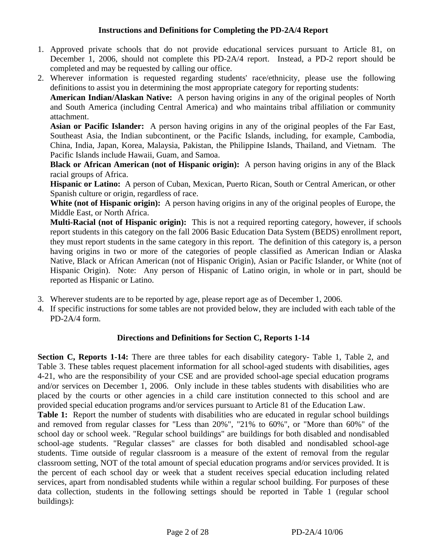### **Instructions and Definitions for Completing the PD-2A/4 Report**

- 1. Approved private schools that do not provide educational services pursuant to Article 81, on December 1, 2006, should not complete this PD-2A/4 report. Instead, a PD-2 report should be completed and may be requested by calling our office.
- 2. Wherever information is requested regarding students' race/ethnicity, please use the following definitions to assist you in determining the most appropriate category for reporting students:

**American Indian/Alaskan Native:** A person having origins in any of the original peoples of North and South America (including Central America) and who maintains tribal affiliation or community attachment.

**Asian or Pacific Islander:** A person having origins in any of the original peoples of the Far East, Southeast Asia, the Indian subcontinent, or the Pacific Islands, including, for example, Cambodia, China, India, Japan, Korea, Malaysia, Pakistan, the Philippine Islands, Thailand, and Vietnam. The Pacific Islands include Hawaii, Guam, and Samoa.

**Black or African American (not of Hispanic origin):** A person having origins in any of the Black racial groups of Africa.

**Hispanic or Latino:** A person of Cuban, Mexican, Puerto Rican, South or Central American, or other Spanish culture or origin, regardless of race.

**White (not of Hispanic origin):** A person having origins in any of the original peoples of Europe, the Middle East, or North Africa.

**Multi-Racial (not of Hispanic origin):** This is not a required reporting category, however, if schools report students in this category on the fall 2006 Basic Education Data System (BEDS) enrollment report, they must report students in the same category in this report. The definition of this category is, a person having origins in two or more of the categories of people classified as American Indian or Alaska Native, Black or African American (not of Hispanic Origin), Asian or Pacific Islander, or White (not of Hispanic Origin). Note: Any person of Hispanic of Latino origin, in whole or in part, should be reported as Hispanic or Latino.

- 3. Wherever students are to be reported by age, please report age as of December 1, 2006.
- 4. If specific instructions for some tables are not provided below, they are included with each table of the PD-2A/4 form.

### **Directions and Definitions for Section C, Reports 1-14**

**Section C, Reports 1-14:** There are three tables for each disability category- Table 1, Table 2, and Table 3. These tables request placement information for all school-aged students with disabilities, ages 4-21, who are the responsibility of your CSE and are provided school-age special education programs and/or services on December 1, 2006. Only include in these tables students with disabilities who are placed by the courts or other agencies in a child care institution connected to this school and are provided special education programs and/or services pursuant to Article 81 of the Education Law.

**Table 1:** Report the number of students with disabilities who are educated in regular school buildings and removed from regular classes for "Less than 20%", "21% to 60%", or "More than 60%" of the school day or school week. "Regular school buildings" are buildings for both disabled and nondisabled school-age students. "Regular classes" are classes for both disabled and nondisabled school-age students. Time outside of regular classroom is a measure of the extent of removal from the regular classroom setting, NOT of the total amount of special education programs and/or services provided. It is the percent of each school day or week that a student receives special education including related services, apart from nondisabled students while within a regular school building. For purposes of these data collection, students in the following settings should be reported in Table 1 (regular school buildings):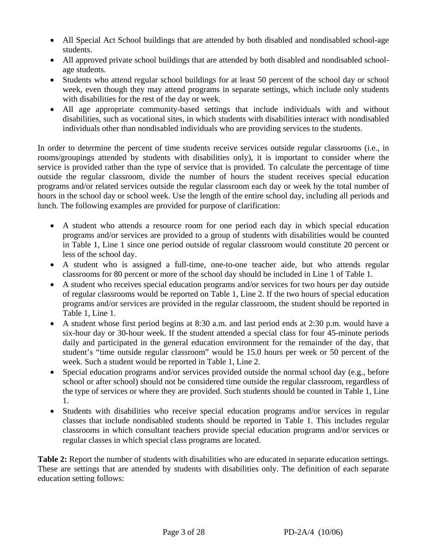- All Special Act School buildings that are attended by both disabled and nondisabled school-age students.
- All approved private school buildings that are attended by both disabled and nondisabled schoolage students.
- Students who attend regular school buildings for at least 50 percent of the school day or school week, even though they may attend programs in separate settings, which include only students with disabilities for the rest of the day or week.
- All age appropriate community-based settings that include individuals with and without disabilities, such as vocational sites, in which students with disabilities interact with nondisabled individuals other than nondisabled individuals who are providing services to the students.

In order to determine the percent of time students receive services outside regular classrooms (i.e., in rooms/groupings attended by students with disabilities only), it is important to consider where the service is provided rather than the type of service that is provided. To calculate the percentage of time outside the regular classroom, divide the number of hours the student receives special education programs and/or related services outside the regular classroom each day or week by the total number of hours in the school day or school week. Use the length of the entire school day, including all periods and lunch. The following examples are provided for purpose of clarification:

- A student who attends a resource room for one period each day in which special education programs and/or services are provided to a group of students with disabilities would be counted in Table 1, Line 1 since one period outside of regular classroom would constitute 20 percent or less of the school day.
- A student who is assigned a full-time, one-to-one teacher aide, but who attends regular classrooms for 80 percent or more of the school day should be included in Line 1 of Table 1.
- A student who receives special education programs and/or services for two hours per day outside of regular classrooms would be reported on Table 1, Line 2. If the two hours of special education programs and/or services are provided in the regular classroom, the student should be reported in Table 1, Line 1.
- A student whose first period begins at 8:30 a.m. and last period ends at 2:30 p.m. would have a six-hour day or 30-hour week. If the student attended a special class for four 45-minute periods daily and participated in the general education environment for the remainder of the day, that student's "time outside regular classroom" would be 15.0 hours per week or 50 percent of the week. Such a student would be reported in Table 1, Line 2.
- Special education programs and/or services provided outside the normal school day (e.g., before school or after school) should not be considered time outside the regular classroom, regardless of the type of services or where they are provided. Such students should be counted in Table 1, Line 1.
- Students with disabilities who receive special education programs and/or services in regular classes that include nondisabled students should be reported in Table 1. This includes regular classrooms in which consultant teachers provide special education programs and/or services or regular classes in which special class programs are located.

**Table 2:** Report the number of students with disabilities who are educated in separate education settings. These are settings that are attended by students with disabilities only. The definition of each separate education setting follows: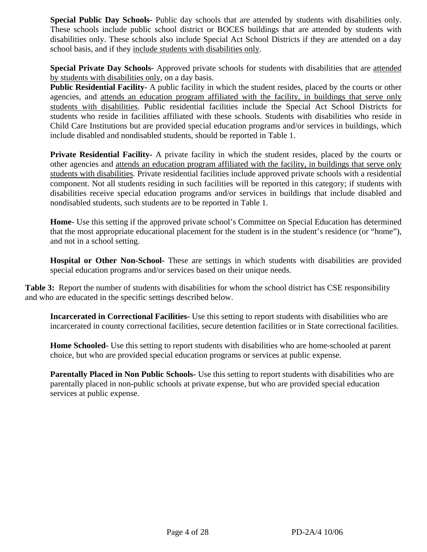**Special Public Day Schools-** Public day schools that are attended by students with disabilities only. These schools include public school district or BOCES buildings that are attended by students with disabilities only. These schools also include Special Act School Districts if they are attended on a day school basis, and if they include students with disabilities only.

**Special Private Day Schools-** Approved private schools for students with disabilities that are attended by students with disabilities only, on a day basis.

**Public Residential Facility-** A public facility in which the student resides, placed by the courts or other agencies, and attends an education program affiliated with the facility, in buildings that serve only students with disabilities. Public residential facilities include the Special Act School Districts for students who reside in facilities affiliated with these schools. Students with disabilities who reside in Child Care Institutions but are provided special education programs and/or services in buildings, which include disabled and nondisabled students, should be reported in Table 1.

**Private Residential Facility-** A private facility in which the student resides, placed by the courts or other agencies and attends an education program affiliated with the facility, in buildings that serve only students with disabilities. Private residential facilities include approved private schools with a residential component. Not all students residing in such facilities will be reported in this category; if students with disabilities receive special education programs and/or services in buildings that include disabled and nondisabled students, such students are to be reported in Table 1.

**Home**- Use this setting if the approved private school's Committee on Special Education has determined that the most appropriate educational placement for the student is in the student's residence (or "home"), and not in a school setting.

**Hospital or Other Non-School-** These are settings in which students with disabilities are provided special education programs and/or services based on their unique needs.

**Table 3:** Report the number of students with disabilities for whom the school district has CSE responsibility and who are educated in the specific settings described below.

**Incarcerated in Correctional Facilities-** Use this setting to report students with disabilities who are incarcerated in county correctional facilities, secure detention facilities or in State correctional facilities.

**Home Schooled-** Use this setting to report students with disabilities who are home-schooled at parent choice, but who are provided special education programs or services at public expense.

**Parentally Placed in Non Public Schools-** Use this setting to report students with disabilities who are parentally placed in non-public schools at private expense, but who are provided special education services at public expense.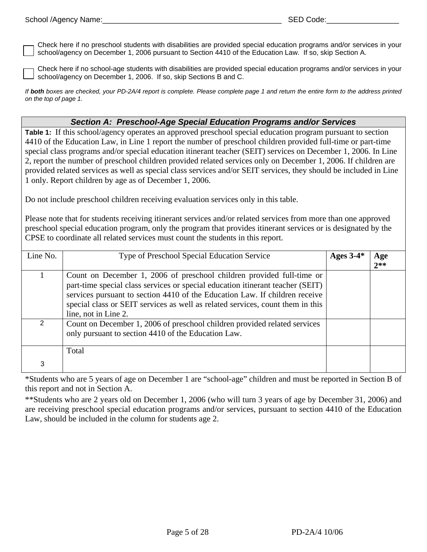Check here if no preschool students with disabilities are provided special education programs and/or services in your school/agency on December 1, 2006 pursuant to Section 4410 of the Education Law. If so, skip Section A.

Check here if no school-age students with disabilities are provided special education programs and/or services in your school/agency on December 1, 2006. If so, skip Sections B and C.

*If both boxes are checked, your PD-2A/4 report is complete. Please complete page 1 and return the entire form to the address printed on the top of page 1.* 

### *Section A: Preschool-Age Special Education Programs and/or Services*

**Table 1:** If this school/agency operates an approved preschool special education program pursuant to section 4410 of the Education Law, in Line 1 report the number of preschool children provided full-time or part-time special class programs and/or special education itinerant teacher (SEIT) services on December 1, 2006. In Line 2, report the number of preschool children provided related services only on December 1, 2006. If children are provided related services as well as special class services and/or SEIT services, they should be included in Line 1 only. Report children by age as of December 1, 2006.

Do not include preschool children receiving evaluation services only in this table.

Please note that for students receiving itinerant services and/or related services from more than one approved preschool special education program, only the program that provides itinerant services or is designated by the CPSE to coordinate all related services must count the students in this report.

| Line No. | Type of Preschool Special Education Service                                                                                                                                                                                                                                                                                                      | Ages $3-4*$ | Age<br>$2**$ |
|----------|--------------------------------------------------------------------------------------------------------------------------------------------------------------------------------------------------------------------------------------------------------------------------------------------------------------------------------------------------|-------------|--------------|
|          | Count on December 1, 2006 of preschool children provided full-time or<br>part-time special class services or special education itinerant teacher (SEIT)<br>services pursuant to section 4410 of the Education Law. If children receive<br>special class or SEIT services as well as related services, count them in this<br>line, not in Line 2. |             |              |
|          | Count on December 1, 2006 of preschool children provided related services<br>only pursuant to section 4410 of the Education Law.                                                                                                                                                                                                                 |             |              |
| 3        | Total                                                                                                                                                                                                                                                                                                                                            |             |              |

\*Students who are 5 years of age on December 1 are "school-age" children and must be reported in Section B of this report and not in Section A.

\*\*Students who are 2 years old on December 1, 2006 (who will turn 3 years of age by December 31, 2006) and are receiving preschool special education programs and/or services, pursuant to section 4410 of the Education Law, should be included in the column for students age 2.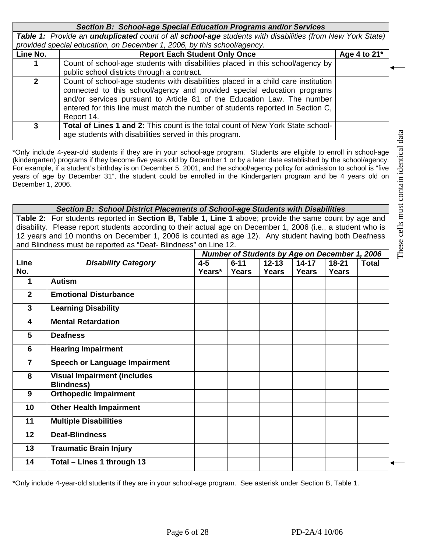| Section B: School-age Special Education Programs and/or Services |                                                                                                                                                                                                                                                                                                                                         |              |  |  |  |  |  |  |
|------------------------------------------------------------------|-----------------------------------------------------------------------------------------------------------------------------------------------------------------------------------------------------------------------------------------------------------------------------------------------------------------------------------------|--------------|--|--|--|--|--|--|
|                                                                  | Table 1: Provide an unduplicated count of all school-age students with disabilities (from New York State)                                                                                                                                                                                                                               |              |  |  |  |  |  |  |
|                                                                  | provided special education, on December 1, 2006, by this school/agency.                                                                                                                                                                                                                                                                 |              |  |  |  |  |  |  |
| Line No.                                                         | <b>Report Each Student Only Once</b>                                                                                                                                                                                                                                                                                                    | Age 4 to 21* |  |  |  |  |  |  |
|                                                                  | Count of school-age students with disabilities placed in this school/agency by                                                                                                                                                                                                                                                          |              |  |  |  |  |  |  |
|                                                                  | public school districts through a contract.                                                                                                                                                                                                                                                                                             |              |  |  |  |  |  |  |
| $\mathbf{2}$                                                     | Count of school-age students with disabilities placed in a child care institution<br>connected to this school/agency and provided special education programs<br>and/or services pursuant to Article 81 of the Education Law. The number<br>entered for this line must match the number of students reported in Section C,<br>Report 14. |              |  |  |  |  |  |  |
| 3                                                                | <b>Total of Lines 1 and 2:</b> This count is the total count of New York State school-<br>age students with disabilities served in this program.                                                                                                                                                                                        |              |  |  |  |  |  |  |

\*Only include 4-year-old students if they are in your school-age program. Students are eligible to enroll in school-age (kindergarten) programs if they become five years old by December 1 or by a later date established by the school/agency. For example, if a student's birthday is on December 5, 2001, and the school/agency policy for admission to school is "five years of age by December 31", the student could be enrolled in the Kindergarten program and be 4 years old on December 1, 2006.

*Section B: School District Placements of School-age Students with Disabilities* **Table 2:** For students reported in **Section B, Table 1, Line 1** above; provide the same count by age and disability. Please report students according to their actual age on December 1, 2006 (i.e., a student who is 12 years and 10 months on December 1, 2006 is counted as age 12). Any student having both Deafness and Blindness must be reported as "Deaf- Blindness" on Line 12.

|                         | Number of Students by Age on December 1, 2006           |         |          |              |           |              |              |
|-------------------------|---------------------------------------------------------|---------|----------|--------------|-----------|--------------|--------------|
| Line                    | <b>Disability Category</b>                              | $4 - 5$ | $6 - 11$ | $12 - 13$    | $14 - 17$ | $18 - 21$    | <b>Total</b> |
| No.                     |                                                         | Years*  | Years    | <b>Years</b> | Years     | <b>Years</b> |              |
| 1                       | <b>Autism</b>                                           |         |          |              |           |              |              |
| $\mathbf{2}$            | <b>Emotional Disturbance</b>                            |         |          |              |           |              |              |
| 3                       | <b>Learning Disability</b>                              |         |          |              |           |              |              |
| $\overline{\mathbf{4}}$ | <b>Mental Retardation</b>                               |         |          |              |           |              |              |
| 5                       | <b>Deafness</b>                                         |         |          |              |           |              |              |
| 6                       | <b>Hearing Impairment</b>                               |         |          |              |           |              |              |
| $\overline{7}$          | Speech or Language Impairment                           |         |          |              |           |              |              |
| 8                       | <b>Visual Impairment (includes</b><br><b>Blindness)</b> |         |          |              |           |              |              |
| 9                       | <b>Orthopedic Impairment</b>                            |         |          |              |           |              |              |
| 10                      | <b>Other Health Impairment</b>                          |         |          |              |           |              |              |
| 11                      | <b>Multiple Disabilities</b>                            |         |          |              |           |              |              |
| 12                      | <b>Deaf-Blindness</b>                                   |         |          |              |           |              |              |
| 13                      | <b>Traumatic Brain Injury</b>                           |         |          |              |           |              |              |
| 14                      | Total - Lines 1 through 13                              |         |          |              |           |              |              |

\*Only include 4-year-old students if they are in your school-age program. See asterisk under Section B, Table 1.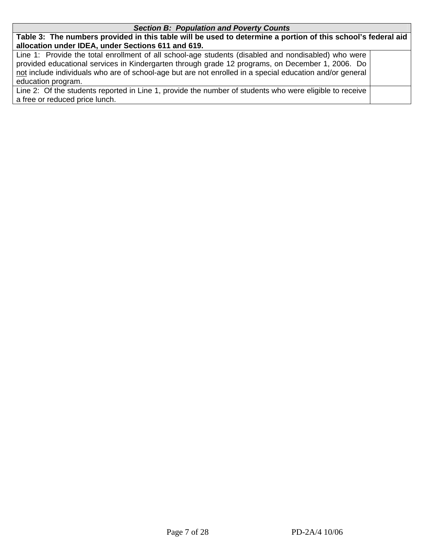#### *Section B: Population and Poverty Counts*

**Table 3: The numbers provided in this table will be used to determine a portion of this school's federal aid allocation under IDEA, under Sections 611 and 619.** 

Line 1: Provide the total enrollment of all school-age students (disabled and nondisabled) who were provided educational services in Kindergarten through grade 12 programs, on December 1, 2006. Do not include individuals who are of school-age but are not enrolled in a special education and/or general education program.

Line 2: Of the students reported in Line 1, provide the number of students who were eligible to receive a free or reduced price lunch.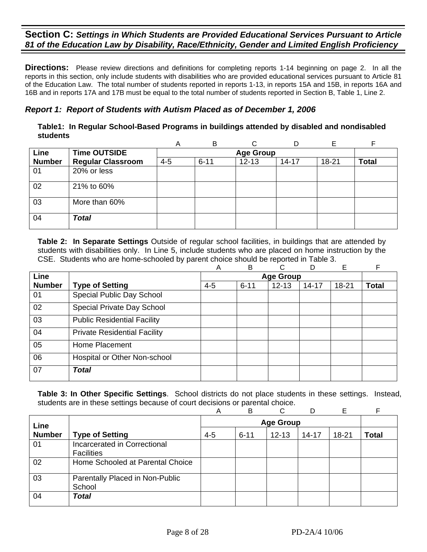**Directions:** Please review directions and definitions for completing reports 1-14 beginning on page 2. In all the reports in this section, only include students with disabilities who are provided educational services pursuant to Article 81 of the Education Law. The total number of students reported in reports 1-13, in reports 15A and 15B, in reports 16A and 16B and in reports 17A and 17B must be equal to the total number of students reported in Section B, Table 1, Line 2.

# *Report 1: Report of Students with Autism Placed as of December 1, 2006*

| Table1: In Regular School-Based Programs in buildings attended by disabled and nondisabled |  |
|--------------------------------------------------------------------------------------------|--|
| students                                                                                   |  |

|               |                          | Α       | B        |                  |           |       |              |
|---------------|--------------------------|---------|----------|------------------|-----------|-------|--------------|
| Line          | <b>Time OUTSIDE</b>      |         |          | <b>Age Group</b> |           |       |              |
| <b>Number</b> | <b>Regular Classroom</b> | $4 - 5$ | $6 - 11$ | $12 - 13$        | $14 - 17$ | 18-21 | <b>Total</b> |
| 01            | 20% or less              |         |          |                  |           |       |              |
| 02            | 21% to 60%               |         |          |                  |           |       |              |
| 03            | More than 60%            |         |          |                  |           |       |              |
| 04            | <b>Total</b>             |         |          |                  |           |       |              |

**Table 2: In Separate Settings** Outside of regular school facilities, in buildings that are attended by students with disabilities only. In Line 5, include students who are placed on home instruction by the CSE. Students who are home-schooled by parent choice should be reported in Table 3.

|               |                                     | Α       | B        | C                | D         | Е         | F            |
|---------------|-------------------------------------|---------|----------|------------------|-----------|-----------|--------------|
| <b>Line</b>   |                                     |         |          | <b>Age Group</b> |           |           |              |
| <b>Number</b> | <b>Type of Setting</b>              | $4 - 5$ | $6 - 11$ | $12 - 13$        | $14 - 17$ | $18 - 21$ | <b>Total</b> |
| 01            | Special Public Day School           |         |          |                  |           |           |              |
| 02            | Special Private Day School          |         |          |                  |           |           |              |
| 03            | <b>Public Residential Facility</b>  |         |          |                  |           |           |              |
| 04            | <b>Private Residential Facility</b> |         |          |                  |           |           |              |
| 05            | Home Placement                      |         |          |                  |           |           |              |
| 06            | Hospital or Other Non-school        |         |          |                  |           |           |              |
| 07            | <b>Total</b>                        |         |          |                  |           |           |              |

|               |                                                   | Α       | B        | ⌒                |           | E         |              |
|---------------|---------------------------------------------------|---------|----------|------------------|-----------|-----------|--------------|
| Line          |                                                   |         |          | <b>Age Group</b> |           |           |              |
| <b>Number</b> | <b>Type of Setting</b>                            | $4 - 5$ | $6 - 11$ | $12 - 13$        | $14 - 17$ | $18 - 21$ | <b>Total</b> |
| 01            | Incarcerated in Correctional<br><b>Facilities</b> |         |          |                  |           |           |              |
| 02            | Home Schooled at Parental Choice                  |         |          |                  |           |           |              |
| 03            | Parentally Placed in Non-Public<br>School         |         |          |                  |           |           |              |
| 04            | <b>Total</b>                                      |         |          |                  |           |           |              |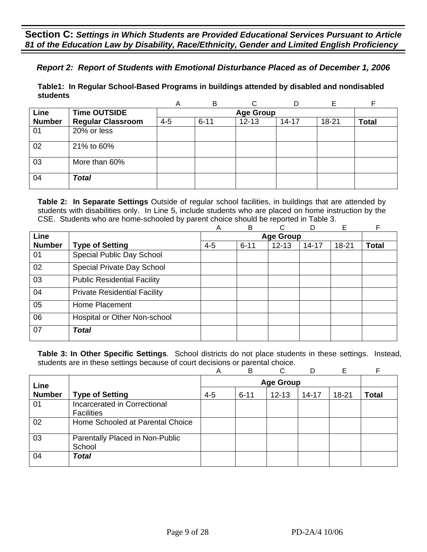# *Report 2: Report of Students with Emotional Disturbance Placed as of December 1, 2006*

**Table1: In Regular School-Based Programs in buildings attended by disabled and nondisabled students** 

|               |                          | Α       | B        |                  | D         |       |              |
|---------------|--------------------------|---------|----------|------------------|-----------|-------|--------------|
| <b>Line</b>   | <b>Time OUTSIDE</b>      |         |          | <b>Age Group</b> |           |       |              |
| <b>Number</b> | <b>Regular Classroom</b> | $4 - 5$ | $6 - 11$ | $12 - 13$        | $14 - 17$ | 18-21 | <b>Total</b> |
| 01            | 20% or less              |         |          |                  |           |       |              |
| 02            | 21% to 60%               |         |          |                  |           |       |              |
| 03            | More than 60%            |         |          |                  |           |       |              |
| 04            | <b>Total</b>             |         |          |                  |           |       |              |

**Table 2: In Separate Settings** Outside of regular school facilities, in buildings that are attended by students with disabilities only. In Line 5, include students who are placed on home instruction by the CSE. Students who are home-schooled by parent choice should be reported in Table 3.

|               |                                     | A       | B        | С                | D         | E     | F            |
|---------------|-------------------------------------|---------|----------|------------------|-----------|-------|--------------|
| Line          |                                     |         |          | <b>Age Group</b> |           |       |              |
| <b>Number</b> | <b>Type of Setting</b>              | $4 - 5$ | $6 - 11$ | $12 - 13$        | $14 - 17$ | 18-21 | <b>Total</b> |
| 01            | Special Public Day School           |         |          |                  |           |       |              |
| 02            | Special Private Day School          |         |          |                  |           |       |              |
| 03            | <b>Public Residential Facility</b>  |         |          |                  |           |       |              |
| 04            | <b>Private Residential Facility</b> |         |          |                  |           |       |              |
| 05            | Home Placement                      |         |          |                  |           |       |              |
| 06            | Hospital or Other Non-school        |         |          |                  |           |       |              |
| 07            | <b>Total</b>                        |         |          |                  |           |       |              |

|               |                                                   | Α       | B        | C                |           | Е         |              |
|---------------|---------------------------------------------------|---------|----------|------------------|-----------|-----------|--------------|
| Line          |                                                   |         |          | <b>Age Group</b> |           |           |              |
| <b>Number</b> | <b>Type of Setting</b>                            | $4 - 5$ | $6 - 11$ | $12 - 13$        | $14 - 17$ | $18 - 21$ | <b>Total</b> |
| 01            | Incarcerated in Correctional<br><b>Facilities</b> |         |          |                  |           |           |              |
| 02            | Home Schooled at Parental Choice                  |         |          |                  |           |           |              |
| 03            | Parentally Placed in Non-Public<br>School         |         |          |                  |           |           |              |
| 04            | Total                                             |         |          |                  |           |           |              |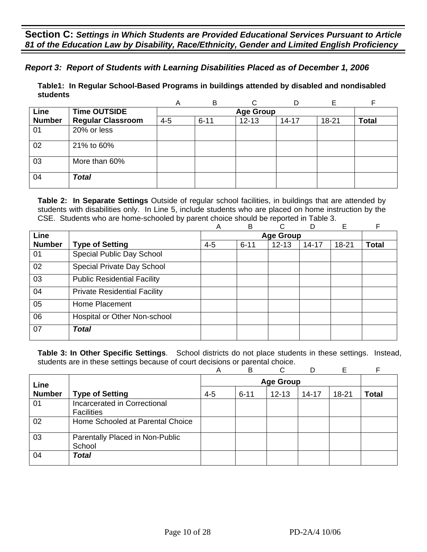*Report 3: Report of Students with Learning Disabilities Placed as of December 1, 2006*

**Table1: In Regular School-Based Programs in buildings attended by disabled and nondisabled students** 

|               |                          | Α       | B        |                  |           | Е     |              |
|---------------|--------------------------|---------|----------|------------------|-----------|-------|--------------|
| Line          | <b>Time OUTSIDE</b>      |         |          | <b>Age Group</b> |           |       |              |
| <b>Number</b> | <b>Regular Classroom</b> | $4 - 5$ | $6 - 11$ | $12 - 13$        | $14 - 17$ | 18-21 | <b>Total</b> |
| 01            | 20% or less              |         |          |                  |           |       |              |
| 02            | 21% to 60%               |         |          |                  |           |       |              |
| 03            | More than 60%            |         |          |                  |           |       |              |
| 04            | <b>Total</b>             |         |          |                  |           |       |              |

**Table 2: In Separate Settings** Outside of regular school facilities, in buildings that are attended by students with disabilities only. In Line 5, include students who are placed on home instruction by the CSE. Students who are home-schooled by parent choice should be reported in Table 3.

|               |                                     | Α       | B        | C                | D         | E         | F            |
|---------------|-------------------------------------|---------|----------|------------------|-----------|-----------|--------------|
| Line          |                                     |         |          | <b>Age Group</b> |           |           |              |
| <b>Number</b> | <b>Type of Setting</b>              | $4 - 5$ | $6 - 11$ | $12 - 13$        | $14 - 17$ | $18 - 21$ | <b>Total</b> |
| 01            | Special Public Day School           |         |          |                  |           |           |              |
| 02            | Special Private Day School          |         |          |                  |           |           |              |
| 03            | <b>Public Residential Facility</b>  |         |          |                  |           |           |              |
| 04            | <b>Private Residential Facility</b> |         |          |                  |           |           |              |
| 05            | Home Placement                      |         |          |                  |           |           |              |
| 06            | Hospital or Other Non-school        |         |          |                  |           |           |              |
| 07            | <b>Total</b>                        |         |          |                  |           |           |              |

|               |                                                   | А       | B        | ⌒         |           | Е         |              |
|---------------|---------------------------------------------------|---------|----------|-----------|-----------|-----------|--------------|
| Line          |                                                   |         |          |           |           |           |              |
| <b>Number</b> | <b>Type of Setting</b>                            | $4 - 5$ | $6 - 11$ | $12 - 13$ | $14 - 17$ | $18 - 21$ | <b>Total</b> |
| 01            | Incarcerated in Correctional<br><b>Facilities</b> |         |          |           |           |           |              |
| 02            | Home Schooled at Parental Choice                  |         |          |           |           |           |              |
| 03            | Parentally Placed in Non-Public<br>School         |         |          |           |           |           |              |
| 04            | <b>Total</b>                                      |         |          |           |           |           |              |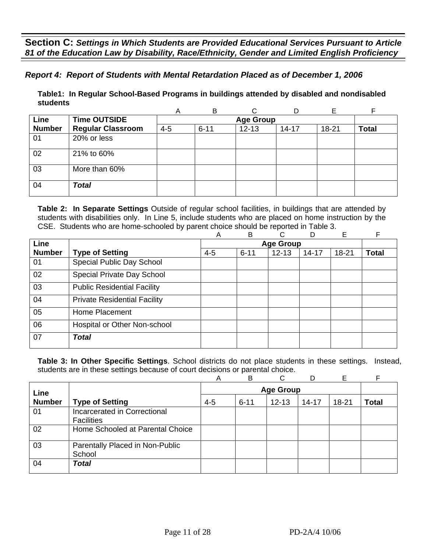# *Report 4: Report of Students with Mental Retardation Placed as of December 1, 2006*

**Table1: In Regular School-Based Programs in buildings attended by disabled and nondisabled students** 

|               |                          | Α       | B                |           |           |       |              |  |  |  |  |
|---------------|--------------------------|---------|------------------|-----------|-----------|-------|--------------|--|--|--|--|
| Line          | <b>Time OUTSIDE</b>      |         | <b>Age Group</b> |           |           |       |              |  |  |  |  |
| <b>Number</b> | <b>Regular Classroom</b> | $4 - 5$ | $6 - 11$         | $12 - 13$ | $14 - 17$ | 18-21 | <b>Total</b> |  |  |  |  |
| 01            | 20% or less              |         |                  |           |           |       |              |  |  |  |  |
| 02            | 21% to 60%               |         |                  |           |           |       |              |  |  |  |  |
| 03            | More than 60%            |         |                  |           |           |       |              |  |  |  |  |
| 04            | <b>Total</b>             |         |                  |           |           |       |              |  |  |  |  |

**Table 2: In Separate Settings** Outside of regular school facilities, in buildings that are attended by students with disabilities only. In Line 5, include students who are placed on home instruction by the CSE. Students who are home-schooled by parent choice should be reported in Table 3.

|               |                                     | A       | B        | C                | D         | E     | F     |
|---------------|-------------------------------------|---------|----------|------------------|-----------|-------|-------|
| Line          |                                     |         |          | <b>Age Group</b> |           |       |       |
| <b>Number</b> | <b>Type of Setting</b>              | $4 - 5$ | $6 - 11$ | $12 - 13$        | $14 - 17$ | 18-21 | Total |
| 01            | Special Public Day School           |         |          |                  |           |       |       |
| 02            | Special Private Day School          |         |          |                  |           |       |       |
| 03            | <b>Public Residential Facility</b>  |         |          |                  |           |       |       |
| 04            | <b>Private Residential Facility</b> |         |          |                  |           |       |       |
| 05            | Home Placement                      |         |          |                  |           |       |       |
| 06            | Hospital or Other Non-school        |         |          |                  |           |       |       |
| 07            | <b>Total</b>                        |         |          |                  |           |       |       |
|               |                                     |         |          |                  |           |       |       |

|               |                                                   | Α       | B        | C         | D         | E     |              |
|---------------|---------------------------------------------------|---------|----------|-----------|-----------|-------|--------------|
| Line          | <b>Age Group</b>                                  |         |          |           |           |       |              |
| <b>Number</b> | <b>Type of Setting</b>                            | $4 - 5$ | $6 - 11$ | $12 - 13$ | $14 - 17$ | 18-21 | <b>Total</b> |
| 01            | Incarcerated in Correctional<br><b>Facilities</b> |         |          |           |           |       |              |
| 02            | Home Schooled at Parental Choice                  |         |          |           |           |       |              |
| 03            | Parentally Placed in Non-Public<br>School         |         |          |           |           |       |              |
| 04            | <b>Total</b>                                      |         |          |           |           |       |              |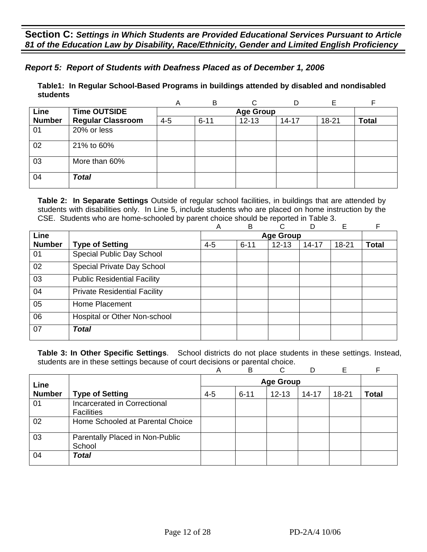# *Report 5: Report of Students with Deafness Placed as of December 1, 2006*

**Table1: In Regular School-Based Programs in buildings attended by disabled and nondisabled students** 

|               |                          | Α       | B        | C                |           | Е         | F            |
|---------------|--------------------------|---------|----------|------------------|-----------|-----------|--------------|
| Line          | <b>Time OUTSIDE</b>      |         |          | <b>Age Group</b> |           |           |              |
| <b>Number</b> | <b>Regular Classroom</b> | $4 - 5$ | $6 - 11$ | $12 - 13$        | $14 - 17$ | $18 - 21$ | <b>Total</b> |
| 01            | 20% or less              |         |          |                  |           |           |              |
| 02            | 21% to 60%               |         |          |                  |           |           |              |
| 03            | More than 60%            |         |          |                  |           |           |              |
| 04            | <b>Total</b>             |         |          |                  |           |           |              |

**Table 2: In Separate Settings** Outside of regular school facilities, in buildings that are attended by students with disabilities only. In Line 5, include students who are placed on home instruction by the CSE. Students who are home-schooled by parent choice should be reported in Table 3.

|               |                                     | Α       | B        | C                | D         | E         | F            |
|---------------|-------------------------------------|---------|----------|------------------|-----------|-----------|--------------|
| <b>Line</b>   |                                     |         |          | <b>Age Group</b> |           |           |              |
| <b>Number</b> | <b>Type of Setting</b>              | $4 - 5$ | $6 - 11$ | $12 - 13$        | $14 - 17$ | $18 - 21$ | <b>Total</b> |
| 01            | Special Public Day School           |         |          |                  |           |           |              |
| 02            | Special Private Day School          |         |          |                  |           |           |              |
| 03            | <b>Public Residential Facility</b>  |         |          |                  |           |           |              |
| 04            | <b>Private Residential Facility</b> |         |          |                  |           |           |              |
| 05            | Home Placement                      |         |          |                  |           |           |              |
| 06            | Hospital or Other Non-school        |         |          |                  |           |           |              |
| 07            | <b>Total</b>                        |         |          |                  |           |           |              |

|               |                                                          | Α       | B                | C         |           | Е         |              |  |  |
|---------------|----------------------------------------------------------|---------|------------------|-----------|-----------|-----------|--------------|--|--|
| Line          |                                                          |         | <b>Age Group</b> |           |           |           |              |  |  |
| <b>Number</b> | <b>Type of Setting</b>                                   | $4 - 5$ | $6 - 11$         | $12 - 13$ | $14 - 17$ | $18 - 21$ | <b>Total</b> |  |  |
| 01            | <b>Incarcerated in Correctional</b><br><b>Facilities</b> |         |                  |           |           |           |              |  |  |
| 02            | Home Schooled at Parental Choice                         |         |                  |           |           |           |              |  |  |
| 03            | Parentally Placed in Non-Public<br>School                |         |                  |           |           |           |              |  |  |
| 04            | <b>Total</b>                                             |         |                  |           |           |           |              |  |  |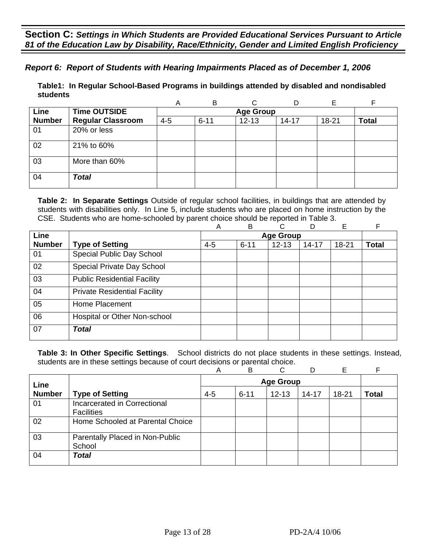*Report 6: Report of Students with Hearing Impairments Placed as of December 1, 2006* 

**Table1: In Regular School-Based Programs in buildings attended by disabled and nondisabled students** 

|               |                          | A       | B        |                  | D         |       | F            |
|---------------|--------------------------|---------|----------|------------------|-----------|-------|--------------|
| Line          | <b>Time OUTSIDE</b>      |         |          | <b>Age Group</b> |           |       |              |
| <b>Number</b> | <b>Regular Classroom</b> | $4 - 5$ | $6 - 11$ | $12 - 13$        | $14 - 17$ | 18-21 | <b>Total</b> |
| 01            | 20% or less              |         |          |                  |           |       |              |
| 02            | 21% to 60%               |         |          |                  |           |       |              |
| 03            | More than 60%            |         |          |                  |           |       |              |
| 04            | <b>Total</b>             |         |          |                  |           |       |              |

**Table 2: In Separate Settings** Outside of regular school facilities, in buildings that are attended by students with disabilities only. In Line 5, include students who are placed on home instruction by the CSE. Students who are home-schooled by parent choice should be reported in Table 3.

|               |                                     | Α       | B        | C                | D         | E         | F            |
|---------------|-------------------------------------|---------|----------|------------------|-----------|-----------|--------------|
| Line          |                                     |         |          | <b>Age Group</b> |           |           |              |
| <b>Number</b> | <b>Type of Setting</b>              | $4 - 5$ | $6 - 11$ | $12 - 13$        | $14 - 17$ | $18 - 21$ | <b>Total</b> |
| 01            | Special Public Day School           |         |          |                  |           |           |              |
| 02            | Special Private Day School          |         |          |                  |           |           |              |
| 03            | <b>Public Residential Facility</b>  |         |          |                  |           |           |              |
| 04            | <b>Private Residential Facility</b> |         |          |                  |           |           |              |
| 05            | Home Placement                      |         |          |                  |           |           |              |
| 06            | Hospital or Other Non-school        |         |          |                  |           |           |              |
| 07            | <b>Total</b>                        |         |          |                  |           |           |              |

|               |                                                          | Α       | B                | C         |           | Е         |              |  |  |
|---------------|----------------------------------------------------------|---------|------------------|-----------|-----------|-----------|--------------|--|--|
| Line          |                                                          |         | <b>Age Group</b> |           |           |           |              |  |  |
| <b>Number</b> | <b>Type of Setting</b>                                   | $4 - 5$ | $6 - 11$         | $12 - 13$ | $14 - 17$ | $18 - 21$ | <b>Total</b> |  |  |
| 01            | <b>Incarcerated in Correctional</b><br><b>Facilities</b> |         |                  |           |           |           |              |  |  |
| 02            | Home Schooled at Parental Choice                         |         |                  |           |           |           |              |  |  |
| 03            | Parentally Placed in Non-Public<br>School                |         |                  |           |           |           |              |  |  |
| 04            | <b>Total</b>                                             |         |                  |           |           |           |              |  |  |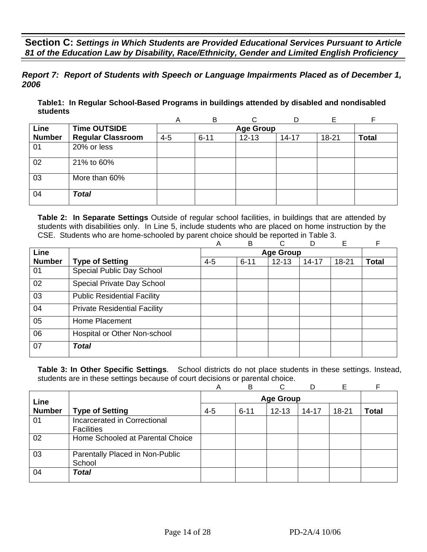*Report 7: Report of Students with Speech or Language Impairments Placed as of December 1, 2006*

**Table1: In Regular School-Based Programs in buildings attended by disabled and nondisabled students** 

|               |                          | A       | B        | ⌒                |           |       | E            |
|---------------|--------------------------|---------|----------|------------------|-----------|-------|--------------|
| Line          | <b>Time OUTSIDE</b>      |         |          | <b>Age Group</b> |           |       |              |
| <b>Number</b> | <b>Regular Classroom</b> | $4 - 5$ | $6 - 11$ | $12 - 13$        | $14 - 17$ | 18-21 | <b>Total</b> |
| 01            | 20% or less              |         |          |                  |           |       |              |
| 02            | 21% to 60%               |         |          |                  |           |       |              |
| 03            | More than 60%            |         |          |                  |           |       |              |
| 04            | <b>Total</b>             |         |          |                  |           |       |              |

**Table 2: In Separate Settings** Outside of regular school facilities, in buildings that are attended by students with disabilities only. In Line 5, include students who are placed on home instruction by the CSE. Students who are home-schooled by parent choice should be reported in Table 3.

|               |                                     | Α       | B        | C.               | D         | Е         | F            |
|---------------|-------------------------------------|---------|----------|------------------|-----------|-----------|--------------|
| Line          |                                     |         |          | <b>Age Group</b> |           |           |              |
| <b>Number</b> | <b>Type of Setting</b>              | $4 - 5$ | $6 - 11$ | $12 - 13$        | $14 - 17$ | $18 - 21$ | <b>Total</b> |
| 01            | Special Public Day School           |         |          |                  |           |           |              |
| 02            | Special Private Day School          |         |          |                  |           |           |              |
| 03            | <b>Public Residential Facility</b>  |         |          |                  |           |           |              |
| 04            | <b>Private Residential Facility</b> |         |          |                  |           |           |              |
| 05            | Home Placement                      |         |          |                  |           |           |              |
| 06            | Hospital or Other Non-school        |         |          |                  |           |           |              |
| 07            | <b>Total</b>                        |         |          |                  |           |           |              |

|               |                                                   | Α       | B        | ⌒         | D         | E         |              |
|---------------|---------------------------------------------------|---------|----------|-----------|-----------|-----------|--------------|
|               | <b>Age Group</b><br>Line                          |         |          |           |           |           |              |
| <b>Number</b> | <b>Type of Setting</b>                            | $4 - 5$ | $6 - 11$ | $12 - 13$ | $14 - 17$ | $18 - 21$ | <b>Total</b> |
| 01            | Incarcerated in Correctional<br><b>Facilities</b> |         |          |           |           |           |              |
| 02            | Home Schooled at Parental Choice                  |         |          |           |           |           |              |
| 03            | Parentally Placed in Non-Public<br>School         |         |          |           |           |           |              |
| 04            | <b>Total</b>                                      |         |          |           |           |           |              |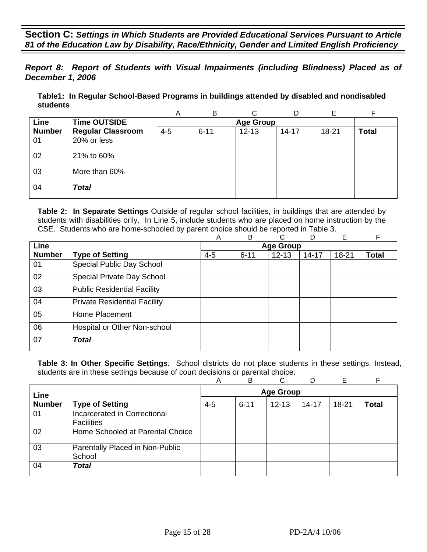*Report 8: Report of Students with Visual Impairments (including Blindness) Placed as of December 1, 2006* 

**Table1: In Regular School-Based Programs in buildings attended by disabled and nondisabled students** 

|               |                          | A       | B        |                  | D         | Е     |              |
|---------------|--------------------------|---------|----------|------------------|-----------|-------|--------------|
| Line          | <b>Time OUTSIDE</b>      |         |          | <b>Age Group</b> |           |       |              |
| <b>Number</b> | <b>Regular Classroom</b> | $4 - 5$ | $6 - 11$ | $12 - 13$        | $14 - 17$ | 18-21 | <b>Total</b> |
| 01            | 20% or less              |         |          |                  |           |       |              |
| 02            | 21% to 60%               |         |          |                  |           |       |              |
| 03            | More than 60%            |         |          |                  |           |       |              |
| 04            | <b>Total</b>             |         |          |                  |           |       |              |

**Table 2: In Separate Settings** Outside of regular school facilities, in buildings that are attended by students with disabilities only. In Line 5, include students who are placed on home instruction by the CSE. Students who are home-schooled by parent choice should be reported in Table 3.

|               |                                     | A       | B        | С                | D         | Е     | F            |
|---------------|-------------------------------------|---------|----------|------------------|-----------|-------|--------------|
| Line          |                                     |         |          | <b>Age Group</b> |           |       |              |
| <b>Number</b> | <b>Type of Setting</b>              | $4 - 5$ | $6 - 11$ | $12 - 13$        | $14 - 17$ | 18-21 | <b>Total</b> |
| 01            | Special Public Day School           |         |          |                  |           |       |              |
| 02            | Special Private Day School          |         |          |                  |           |       |              |
| 03            | <b>Public Residential Facility</b>  |         |          |                  |           |       |              |
| 04            | <b>Private Residential Facility</b> |         |          |                  |           |       |              |
| 05            | Home Placement                      |         |          |                  |           |       |              |
| 06            | Hospital or Other Non-school        |         |          |                  |           |       |              |
| 07            | <b>Total</b>                        |         |          |                  |           |       |              |

|               |                                                   | Α       | B        | ◠         |           | Е     |       |
|---------------|---------------------------------------------------|---------|----------|-----------|-----------|-------|-------|
|               | <b>Age Group</b><br>Line                          |         |          |           |           |       |       |
| <b>Number</b> | <b>Type of Setting</b>                            | $4 - 5$ | $6 - 11$ | $12 - 13$ | $14 - 17$ | 18-21 | Total |
| 01            | Incarcerated in Correctional<br><b>Facilities</b> |         |          |           |           |       |       |
| 02            | Home Schooled at Parental Choice                  |         |          |           |           |       |       |
| 03            | Parentally Placed in Non-Public<br>School         |         |          |           |           |       |       |
| 04            | <b>Total</b>                                      |         |          |           |           |       |       |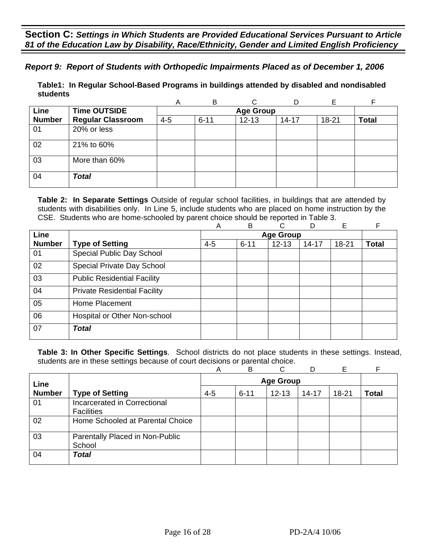## *Report 9: Report of Students with Orthopedic Impairments Placed as of December 1, 2006*

**Table1: In Regular School-Based Programs in buildings attended by disabled and nondisabled students** 

|               |                          | Α       | B        |                  |           | F     |              |
|---------------|--------------------------|---------|----------|------------------|-----------|-------|--------------|
| <b>Line</b>   | <b>Time OUTSIDE</b>      |         |          | <b>Age Group</b> |           |       |              |
| <b>Number</b> | <b>Regular Classroom</b> | $4 - 5$ | $6 - 11$ | $12 - 13$        | $14 - 17$ | 18-21 | <b>Total</b> |
| 01            | 20% or less              |         |          |                  |           |       |              |
| 02            | 21% to 60%               |         |          |                  |           |       |              |
| 03            | More than 60%            |         |          |                  |           |       |              |
| 04            | <b>Total</b>             |         |          |                  |           |       |              |

**Table 2: In Separate Settings** Outside of regular school facilities, in buildings that are attended by students with disabilities only. In Line 5, include students who are placed on home instruction by the CSE. Students who are home-schooled by parent choice should be reported in Table 3.

|               |                                     | Α       | B        | C                | D         | Е         | F            |
|---------------|-------------------------------------|---------|----------|------------------|-----------|-----------|--------------|
| <b>Line</b>   |                                     |         |          | <b>Age Group</b> |           |           |              |
| <b>Number</b> | <b>Type of Setting</b>              | $4 - 5$ | $6 - 11$ | $12 - 13$        | $14 - 17$ | $18 - 21$ | <b>Total</b> |
| 01            | Special Public Day School           |         |          |                  |           |           |              |
| 02            | Special Private Day School          |         |          |                  |           |           |              |
| 03            | <b>Public Residential Facility</b>  |         |          |                  |           |           |              |
| 04            | <b>Private Residential Facility</b> |         |          |                  |           |           |              |
| 05            | Home Placement                      |         |          |                  |           |           |              |
| 06            | Hospital or Other Non-school        |         |          |                  |           |           |              |
| 07            | <b>Total</b>                        |         |          |                  |           |           |              |

|               |                                     | А       | B                | ⌒         |           | Е         |              |  |  |
|---------------|-------------------------------------|---------|------------------|-----------|-----------|-----------|--------------|--|--|
| Line          |                                     |         | <b>Age Group</b> |           |           |           |              |  |  |
| <b>Number</b> | <b>Type of Setting</b>              | $4 - 5$ | $6 - 11$         | $12 - 13$ | $14 - 17$ | $18 - 21$ | <b>Total</b> |  |  |
| 01            | <b>Incarcerated in Correctional</b> |         |                  |           |           |           |              |  |  |
|               | <b>Facilities</b>                   |         |                  |           |           |           |              |  |  |
| 02            | Home Schooled at Parental Choice    |         |                  |           |           |           |              |  |  |
| 03            | Parentally Placed in Non-Public     |         |                  |           |           |           |              |  |  |
|               | School                              |         |                  |           |           |           |              |  |  |
| 04            | <b>Total</b>                        |         |                  |           |           |           |              |  |  |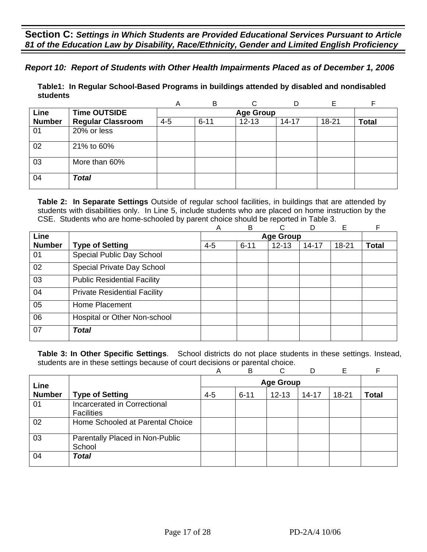*Report 10: Report of Students with Other Health Impairments Placed as of December 1, 2006* 

**Table1: In Regular School-Based Programs in buildings attended by disabled and nondisabled students** 

|               |                          | A       | В        |                  | D         | E         |              |
|---------------|--------------------------|---------|----------|------------------|-----------|-----------|--------------|
| Line          | <b>Time OUTSIDE</b>      |         |          | <b>Age Group</b> |           |           |              |
| <b>Number</b> | <b>Regular Classroom</b> | $4 - 5$ | $6 - 11$ | $12 - 13$        | $14 - 17$ | $18 - 21$ | <b>Total</b> |
| 01            | 20% or less              |         |          |                  |           |           |              |
| 02            | 21% to 60%               |         |          |                  |           |           |              |
| 03            | More than 60%            |         |          |                  |           |           |              |
| 04            | <b>Total</b>             |         |          |                  |           |           |              |

**Table 2: In Separate Settings** Outside of regular school facilities, in buildings that are attended by students with disabilities only. In Line 5, include students who are placed on home instruction by the CSE. Students who are home-schooled by parent choice should be reported in Table 3.

|               |                                     | Α       | B        | C                | D         | E         | F            |
|---------------|-------------------------------------|---------|----------|------------------|-----------|-----------|--------------|
| Line          |                                     |         |          | <b>Age Group</b> |           |           |              |
| <b>Number</b> | <b>Type of Setting</b>              | $4 - 5$ | $6 - 11$ | $12 - 13$        | $14 - 17$ | $18 - 21$ | <b>Total</b> |
| 01            | Special Public Day School           |         |          |                  |           |           |              |
| 02            | Special Private Day School          |         |          |                  |           |           |              |
| 03            | <b>Public Residential Facility</b>  |         |          |                  |           |           |              |
| 04            | <b>Private Residential Facility</b> |         |          |                  |           |           |              |
| 05            | Home Placement                      |         |          |                  |           |           |              |
| 06            | Hospital or Other Non-school        |         |          |                  |           |           |              |
| 07            | <b>Total</b>                        |         |          |                  |           |           |              |

|               |                                           | Α       | B                | C         | D         | Е     |              |  |  |
|---------------|-------------------------------------------|---------|------------------|-----------|-----------|-------|--------------|--|--|
| Line          |                                           |         | <b>Age Group</b> |           |           |       |              |  |  |
| <b>Number</b> | <b>Type of Setting</b>                    | $4 - 5$ | $6 - 11$         | $12 - 13$ | $14 - 17$ | 18-21 | <b>Total</b> |  |  |
| 01            | Incarcerated in Correctional              |         |                  |           |           |       |              |  |  |
|               | <b>Facilities</b>                         |         |                  |           |           |       |              |  |  |
| 02            | Home Schooled at Parental Choice          |         |                  |           |           |       |              |  |  |
| 03            | Parentally Placed in Non-Public<br>School |         |                  |           |           |       |              |  |  |
| 04            | <b>Total</b>                              |         |                  |           |           |       |              |  |  |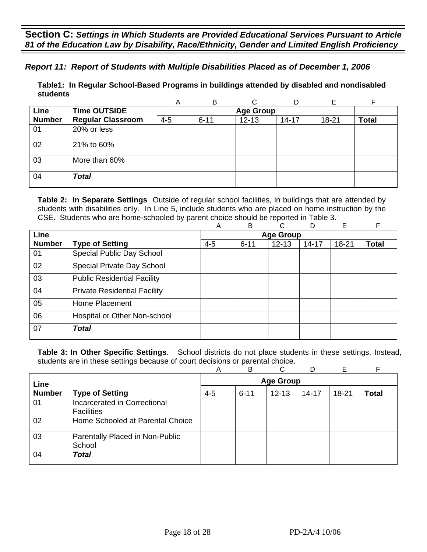## *Report 11: Report of Students with Multiple Disabilities Placed as of December 1, 2006*

**Table1: In Regular School-Based Programs in buildings attended by disabled and nondisabled students** 

|               |                          | A       | B        |                  | D         | Е     |              |
|---------------|--------------------------|---------|----------|------------------|-----------|-------|--------------|
| Line          | <b>Time OUTSIDE</b>      |         |          | <b>Age Group</b> |           |       |              |
| <b>Number</b> | <b>Regular Classroom</b> | $4 - 5$ | $6 - 11$ | $12 - 13$        | $14 - 17$ | 18-21 | <b>Total</b> |
| 01            | 20% or less              |         |          |                  |           |       |              |
| 02            | 21% to 60%               |         |          |                  |           |       |              |
| 03            | More than 60%            |         |          |                  |           |       |              |
| 04            | <b>Total</b>             |         |          |                  |           |       |              |

**Table 2: In Separate Settings** Outside of regular school facilities, in buildings that are attended by students with disabilities only. In Line 5, include students who are placed on home instruction by the CSE. Students who are home-schooled by parent choice should be reported in Table 3.

|               |                                     | Α       | B                | C         | D         | Е         | F            |  |  |
|---------------|-------------------------------------|---------|------------------|-----------|-----------|-----------|--------------|--|--|
| <b>Line</b>   |                                     |         | <b>Age Group</b> |           |           |           |              |  |  |
| <b>Number</b> | <b>Type of Setting</b>              | $4 - 5$ | $6 - 11$         | $12 - 13$ | $14 - 17$ | $18 - 21$ | <b>Total</b> |  |  |
| 01            | Special Public Day School           |         |                  |           |           |           |              |  |  |
| 02            | Special Private Day School          |         |                  |           |           |           |              |  |  |
| 03            | <b>Public Residential Facility</b>  |         |                  |           |           |           |              |  |  |
| 04            | <b>Private Residential Facility</b> |         |                  |           |           |           |              |  |  |
| 05            | Home Placement                      |         |                  |           |           |           |              |  |  |
| 06            | Hospital or Other Non-school        |         |                  |           |           |           |              |  |  |
| 07            | <b>Total</b>                        |         |                  |           |           |           |              |  |  |

|               |                                  | Α       | B                | C         |           | Е         |              |  |  |
|---------------|----------------------------------|---------|------------------|-----------|-----------|-----------|--------------|--|--|
| Line          |                                  |         | <b>Age Group</b> |           |           |           |              |  |  |
| <b>Number</b> | <b>Type of Setting</b>           | $4 - 5$ | $6 - 11$         | $12 - 13$ | $14 - 17$ | $18 - 21$ | <b>Total</b> |  |  |
| 01            | Incarcerated in Correctional     |         |                  |           |           |           |              |  |  |
|               | <b>Facilities</b>                |         |                  |           |           |           |              |  |  |
| 02            | Home Schooled at Parental Choice |         |                  |           |           |           |              |  |  |
| 03            | Parentally Placed in Non-Public  |         |                  |           |           |           |              |  |  |
|               | School                           |         |                  |           |           |           |              |  |  |
| 04            | <b>Total</b>                     |         |                  |           |           |           |              |  |  |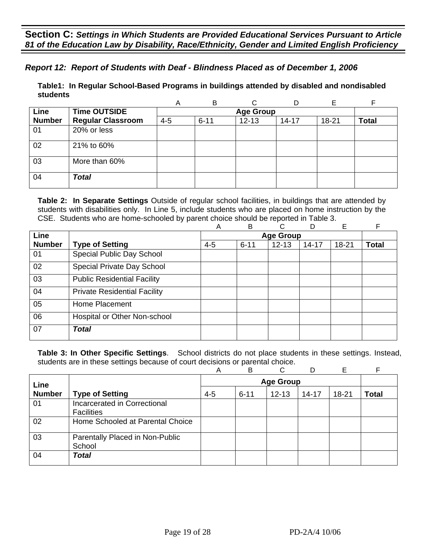## *Report 12: Report of Students with Deaf - Blindness Placed as of December 1, 2006*

**Table1: In Regular School-Based Programs in buildings attended by disabled and nondisabled students** 

|               |                          | Α       | B        |                  |           | Е     |              |
|---------------|--------------------------|---------|----------|------------------|-----------|-------|--------------|
| Line          | <b>Time OUTSIDE</b>      |         |          | <b>Age Group</b> |           |       |              |
| <b>Number</b> | <b>Regular Classroom</b> | $4 - 5$ | $6 - 11$ | $12 - 13$        | $14 - 17$ | 18-21 | <b>Total</b> |
| 01            | 20% or less              |         |          |                  |           |       |              |
| 02            | 21% to 60%               |         |          |                  |           |       |              |
| 03            | More than 60%            |         |          |                  |           |       |              |
| 04            | <b>Total</b>             |         |          |                  |           |       |              |

**Table 2: In Separate Settings** Outside of regular school facilities, in buildings that are attended by students with disabilities only. In Line 5, include students who are placed on home instruction by the CSE. Students who are home-schooled by parent choice should be reported in Table 3.

|               |                                     | Α       | B                | C         | D         | E         | F            |  |  |
|---------------|-------------------------------------|---------|------------------|-----------|-----------|-----------|--------------|--|--|
| <b>Line</b>   |                                     |         | <b>Age Group</b> |           |           |           |              |  |  |
| <b>Number</b> | <b>Type of Setting</b>              | $4 - 5$ | $6 - 11$         | $12 - 13$ | $14 - 17$ | $18 - 21$ | <b>Total</b> |  |  |
| 01            | Special Public Day School           |         |                  |           |           |           |              |  |  |
| 02            | Special Private Day School          |         |                  |           |           |           |              |  |  |
| 03            | <b>Public Residential Facility</b>  |         |                  |           |           |           |              |  |  |
| 04            | <b>Private Residential Facility</b> |         |                  |           |           |           |              |  |  |
| 05            | Home Placement                      |         |                  |           |           |           |              |  |  |
| 06            | Hospital or Other Non-school        |         |                  |           |           |           |              |  |  |
| 07            | <b>Total</b>                        |         |                  |           |           |           |              |  |  |

|               |                                                   | Α       | В                | C         |           | Е     |              |  |  |
|---------------|---------------------------------------------------|---------|------------------|-----------|-----------|-------|--------------|--|--|
| Line          |                                                   |         | <b>Age Group</b> |           |           |       |              |  |  |
| <b>Number</b> | <b>Type of Setting</b>                            | $4 - 5$ | $6 - 11$         | $12 - 13$ | $14 - 17$ | 18-21 | <b>Total</b> |  |  |
| 01            | Incarcerated in Correctional<br><b>Facilities</b> |         |                  |           |           |       |              |  |  |
| 02            | Home Schooled at Parental Choice                  |         |                  |           |           |       |              |  |  |
| 03            | Parentally Placed in Non-Public<br>School         |         |                  |           |           |       |              |  |  |
| 04            | <b>Total</b>                                      |         |                  |           |           |       |              |  |  |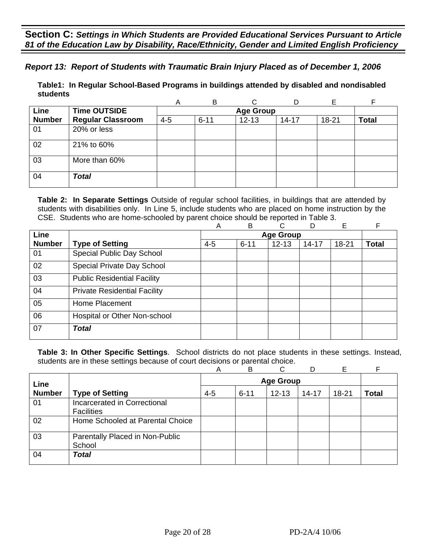*Report 13: Report of Students with Traumatic Brain Injury Placed as of December 1, 2006*

**Table1: In Regular School-Based Programs in buildings attended by disabled and nondisabled students** 

|               |                          | A       | В        |                  | D         | E         |              |
|---------------|--------------------------|---------|----------|------------------|-----------|-----------|--------------|
| Line          | <b>Time OUTSIDE</b>      |         |          | <b>Age Group</b> |           |           |              |
| <b>Number</b> | <b>Regular Classroom</b> | $4 - 5$ | $6 - 11$ | $12 - 13$        | $14 - 17$ | $18 - 21$ | <b>Total</b> |
| 01            | 20% or less              |         |          |                  |           |           |              |
| 02            | 21% to 60%               |         |          |                  |           |           |              |
| 03            | More than 60%            |         |          |                  |           |           |              |
| 04            | <b>Total</b>             |         |          |                  |           |           |              |

**Table 2: In Separate Settings** Outside of regular school facilities, in buildings that are attended by students with disabilities only. In Line 5, include students who are placed on home instruction by the CSE. Students who are home-schooled by parent choice should be reported in Table 3.

|               |                                     | A       | B                | C         | D         | Е         | F            |  |  |
|---------------|-------------------------------------|---------|------------------|-----------|-----------|-----------|--------------|--|--|
| <b>Line</b>   |                                     |         | <b>Age Group</b> |           |           |           |              |  |  |
| <b>Number</b> | <b>Type of Setting</b>              | $4 - 5$ | $6 - 11$         | $12 - 13$ | $14 - 17$ | $18 - 21$ | <b>Total</b> |  |  |
| 01            | Special Public Day School           |         |                  |           |           |           |              |  |  |
| 02            | Special Private Day School          |         |                  |           |           |           |              |  |  |
| 03            | <b>Public Residential Facility</b>  |         |                  |           |           |           |              |  |  |
| 04            | <b>Private Residential Facility</b> |         |                  |           |           |           |              |  |  |
| 05            | Home Placement                      |         |                  |           |           |           |              |  |  |
| 06            | Hospital or Other Non-school        |         |                  |           |           |           |              |  |  |
| 07            | Total                               |         |                  |           |           |           |              |  |  |

|               |                                  | Α       | B                | C         | D         | F     |              |  |  |
|---------------|----------------------------------|---------|------------------|-----------|-----------|-------|--------------|--|--|
| Line          |                                  |         | <b>Age Group</b> |           |           |       |              |  |  |
| <b>Number</b> | <b>Type of Setting</b>           | $4 - 5$ | $6 - 11$         | $12 - 13$ | $14 - 17$ | 18-21 | <b>Total</b> |  |  |
| 01            | Incarcerated in Correctional     |         |                  |           |           |       |              |  |  |
|               | <b>Facilities</b>                |         |                  |           |           |       |              |  |  |
| 02            | Home Schooled at Parental Choice |         |                  |           |           |       |              |  |  |
| 03            | Parentally Placed in Non-Public  |         |                  |           |           |       |              |  |  |
|               | School                           |         |                  |           |           |       |              |  |  |
| 04            | <b>Total</b>                     |         |                  |           |           |       |              |  |  |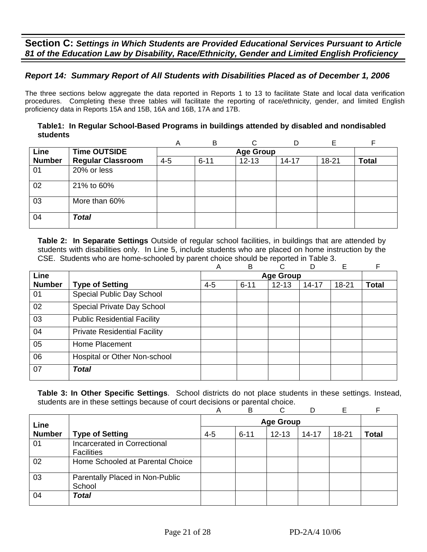# *Report 14: Summary Report of All Students with Disabilities Placed as of December 1, 2006*

The three sections below aggregate the data reported in Reports 1 to 13 to facilitate State and local data verification procedures. Completing these three tables will facilitate the reporting of race/ethnicity, gender, and limited English proficiency data in Reports 15A and 15B, 16A and 16B, 17A and 17B.

### **Table1: In Regular School-Based Programs in buildings attended by disabled and nondisabled students**

|               |                          | A       | B        | ⌒                |           |       | F            |
|---------------|--------------------------|---------|----------|------------------|-----------|-------|--------------|
| Line          | <b>Time OUTSIDE</b>      |         |          | <b>Age Group</b> |           |       |              |
| <b>Number</b> | <b>Regular Classroom</b> | $4 - 5$ | $6 - 11$ | $12 - 13$        | $14 - 17$ | 18-21 | <b>Total</b> |
| 01            | 20% or less              |         |          |                  |           |       |              |
| 02            | 21% to 60%               |         |          |                  |           |       |              |
| 03            | More than 60%            |         |          |                  |           |       |              |
| 04            | <b>Total</b>             |         |          |                  |           |       |              |

**Table 2: In Separate Settings** Outside of regular school facilities, in buildings that are attended by students with disabilities only. In Line 5, include students who are placed on home instruction by the CSE. Students who are home-schooled by parent choice should be reported in Table 3.

|               |                                     | Α       | B        | C.               | D         | Е         | F            |
|---------------|-------------------------------------|---------|----------|------------------|-----------|-----------|--------------|
| Line          |                                     |         |          | <b>Age Group</b> |           |           |              |
| <b>Number</b> | <b>Type of Setting</b>              | $4 - 5$ | $6 - 11$ | $12 - 13$        | $14 - 17$ | $18 - 21$ | <b>Total</b> |
| 01            | Special Public Day School           |         |          |                  |           |           |              |
| 02            | Special Private Day School          |         |          |                  |           |           |              |
| 03            | <b>Public Residential Facility</b>  |         |          |                  |           |           |              |
| 04            | <b>Private Residential Facility</b> |         |          |                  |           |           |              |
| 05            | Home Placement                      |         |          |                  |           |           |              |
| 06            | Hospital or Other Non-school        |         |          |                  |           |           |              |
| 07            | <b>Total</b>                        |         |          |                  |           |           |              |

|               |                                                   | Α       | B                | ⌒         | D         | E     |              |  |  |  |
|---------------|---------------------------------------------------|---------|------------------|-----------|-----------|-------|--------------|--|--|--|
| Line          |                                                   |         | <b>Age Group</b> |           |           |       |              |  |  |  |
| <b>Number</b> | <b>Type of Setting</b>                            | $4 - 5$ | $6 - 11$         | $12 - 13$ | $14 - 17$ | 18-21 | <b>Total</b> |  |  |  |
| 01            | Incarcerated in Correctional<br><b>Facilities</b> |         |                  |           |           |       |              |  |  |  |
| 02            | Home Schooled at Parental Choice                  |         |                  |           |           |       |              |  |  |  |
| 03            | Parentally Placed in Non-Public<br>School         |         |                  |           |           |       |              |  |  |  |
| 04            | <b>Total</b>                                      |         |                  |           |           |       |              |  |  |  |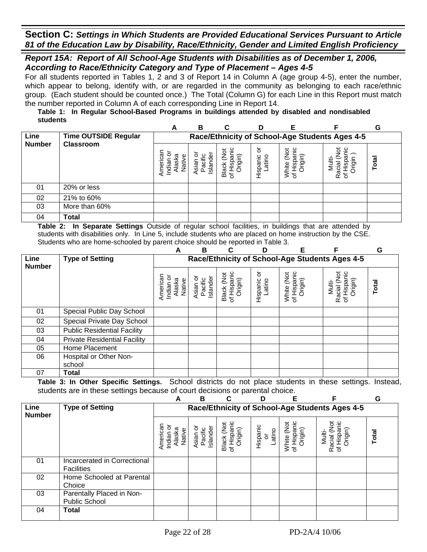### *Report 15A: Report of All School-Age Students with Disabilities as of December 1, 2006, According to Race/Ethnicity Category and Type of Placement – Ages 4-5*

For all students reported in Tables 1, 2 and 3 of Report 14 in Column A (age group 4-5), enter the number, which appear to belong, identify with, or are regarded in the community as belonging to each race/ethnic group. (Each student should be counted once.) The Total (Column G) for each Line in this Report must match the number reported in Column A of each corresponding Line in Report 14.

#### **Table 1: In Regular School-Based Programs in buildings attended by disabled and nondisabled students**

|               |                      | A                                                                    | в                                  | С       |                        |                                         |                           | G     |  |  |  |
|---------------|----------------------|----------------------------------------------------------------------|------------------------------------|---------|------------------------|-----------------------------------------|---------------------------|-------|--|--|--|
| Line          | Time OUTSIDE Regular | Race/Ethnicity of School-Age Students Ages 4-5                       |                                    |         |                        |                                         |                           |       |  |  |  |
| <b>Number</b> | <b>Classroom</b>     | Americai<br>o<br>ā<br>Φ<br>Indian<br>$\overline{\mathsf{a}}$<br>√ati | Islander<br><b>Asian</b><br>Pacifi | Вã<br>৳ | ৯<br>Hispanic<br>atino | '≒<br>ş<br>rigin)<br>ispa<br>air<br>≥ స | ౚఀ<br>त्व<br>ഗ<br>Ra<br>৳ | Total |  |  |  |
| 01            | 20% or less          |                                                                      |                                    |         |                        |                                         |                           |       |  |  |  |
| 02            | 21% to 60%           |                                                                      |                                    |         |                        |                                         |                           |       |  |  |  |
| 03            | More than 60%        |                                                                      |                                    |         |                        |                                         |                           |       |  |  |  |
| 04            | Total                |                                                                      |                                    |         |                        |                                         |                           |       |  |  |  |

**Table 2: In Separate Settings** Outside of regular school facilities, in buildings that are attended by students with disabilities only. In Line 5, include students who are placed on home instruction by the CSE. Students who are home-schooled by parent choice should be reported in Table 3.

|                       | . <i>.</i>                          | A                                         | В                                              |                                      | D                       | Е                                    |                                                 | G     |  |  |
|-----------------------|-------------------------------------|-------------------------------------------|------------------------------------------------|--------------------------------------|-------------------------|--------------------------------------|-------------------------------------------------|-------|--|--|
| Line<br><b>Number</b> | <b>Type of Setting</b>              |                                           | Race/Ethnicity of School-Age Students Ages 4-5 |                                      |                         |                                      |                                                 |       |  |  |
|                       |                                     | American<br>Indian or<br>Alaska<br>Native | Asian or<br>Pacific<br>Islander                | Black (Not<br>of Hispanic<br>Origin) | 5<br>Hispanic<br>Latino | of Hispanic<br>Origin)<br>White (Not | of Hispanic<br>Origin)<br>Racial (Not<br>Multi- | Total |  |  |
| 01                    | Special Public Day School           |                                           |                                                |                                      |                         |                                      |                                                 |       |  |  |
| 02                    | Special Private Day School          |                                           |                                                |                                      |                         |                                      |                                                 |       |  |  |
| 03                    | <b>Public Residential Facility</b>  |                                           |                                                |                                      |                         |                                      |                                                 |       |  |  |
| 04                    | <b>Private Residential Facility</b> |                                           |                                                |                                      |                         |                                      |                                                 |       |  |  |
| 05                    | Home Placement                      |                                           |                                                |                                      |                         |                                      |                                                 |       |  |  |
| 06                    | Hospital or Other Non-              |                                           |                                                |                                      |                         |                                      |                                                 |       |  |  |
|                       | school                              |                                           |                                                |                                      |                         |                                      |                                                 |       |  |  |
| 07                    | Total                               |                                           |                                                |                                      |                         |                                      |                                                 |       |  |  |

|                       |                                                   | А                                         | B                                              |                                      | D                        |                                      |                                                      | G     |  |  |
|-----------------------|---------------------------------------------------|-------------------------------------------|------------------------------------------------|--------------------------------------|--------------------------|--------------------------------------|------------------------------------------------------|-------|--|--|
| Line<br><b>Number</b> | <b>Type of Setting</b>                            |                                           | Race/Ethnicity of School-Age Students Ages 4-5 |                                      |                          |                                      |                                                      |       |  |  |
|                       |                                                   | American<br>Indian or<br>Native<br>Alaska | ō<br>Islander<br>Pacific<br>Asian              | Black (Not<br>of Hispanic<br>Origin) | Hispanic<br>or<br>Latino | of Hispanic<br>Origin)<br>ğ<br>White | ğ<br>Hispanic<br>Origin)<br>Racial (I<br>Multi-<br>৳ | Total |  |  |
| 01                    | Incarcerated in Correctional<br><b>Facilities</b> |                                           |                                                |                                      |                          |                                      |                                                      |       |  |  |
| 02                    | Home Schooled at Parental<br>Choice               |                                           |                                                |                                      |                          |                                      |                                                      |       |  |  |
| 03                    | Parentally Placed in Non-<br><b>Public School</b> |                                           |                                                |                                      |                          |                                      |                                                      |       |  |  |
| 04                    | <b>Total</b>                                      |                                           |                                                |                                      |                          |                                      |                                                      |       |  |  |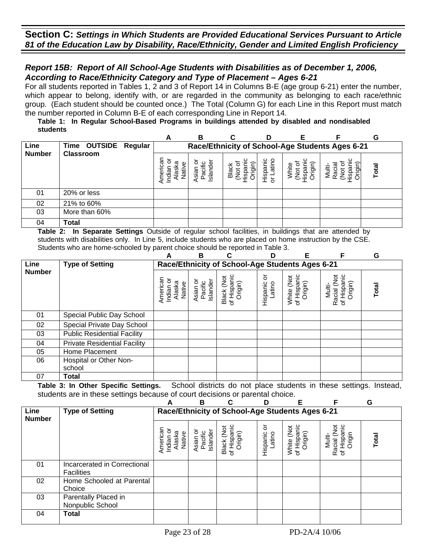## *Report 15B: Report of All School-Age Students with Disabilities as of December 1, 2006, According to Race/Ethnicity Category and Type of Placement – Ages 6-21*

For all students reported in Tables 1, 2 and 3 of Report 14 in Columns B-E (age group 6-21) enter the number, which appear to belong, identify with, or are regarded in the community as belonging to each race/ethnic group. (Each student should be counted once.) The Total (Column G) for each Line in this Report must match the number reported in Column B-E of each corresponding Line in Report 14.

#### **Table 1: In Regular School-Based Programs in buildings attended by disabled and nondisabled students**

|               |                      | A                                                       | в                                               | C                          | D                      |                           |                       | G     |  |  |  |
|---------------|----------------------|---------------------------------------------------------|-------------------------------------------------|----------------------------|------------------------|---------------------------|-----------------------|-------|--|--|--|
| Line          | Time OUTSIDE Regular |                                                         | Race/Ethnicity of School-Age Students Ages 6-21 |                            |                        |                           |                       |       |  |  |  |
| <b>Number</b> | <b>Classroom</b>     | శ్ర<br>ō<br>ത്ര<br>φ<br>Indiar<br>ge<br>.<br>≌<br>Ameri | Island<br><b>Asian</b><br>Pacifi                | Black<br>iği<br>န္မွာ<br>ğ | atino<br>Hispanic<br>ð | )rigin)<br>눋<br>₫<br>lisp | Multi-<br>မ္က<br>egil | Total |  |  |  |
| 01            | 20% or less          |                                                         |                                                 |                            |                        |                           |                       |       |  |  |  |
| 02            | 21% to 60%           |                                                         |                                                 |                            |                        |                           |                       |       |  |  |  |
| 03            | More than 60%        |                                                         |                                                 |                            |                        |                           |                       |       |  |  |  |
| 04            | Total                |                                                         |                                                 |                            |                        |                           |                       |       |  |  |  |

**Table 2: In Separate Settings** Outside of regular school facilities, in buildings that are attended by students with disabilities only. In Line 5, include students who are placed on home instruction by the CSE. Students who are home-schooled by parent choice should be reported in Table 3.

|               |                                     | А                                               | В                               | C                                    | D                       | Е                                    |                                                 | G     |  |
|---------------|-------------------------------------|-------------------------------------------------|---------------------------------|--------------------------------------|-------------------------|--------------------------------------|-------------------------------------------------|-------|--|
| Line          | <b>Type of Setting</b>              | Race/Ethnicity of School-Age Students Ages 6-21 |                                 |                                      |                         |                                      |                                                 |       |  |
| <b>Number</b> |                                     | American<br>Indian or<br>Alaska<br>Native       | Asian or<br>Pacific<br>Islander | of Hispanic<br>Black (Not<br>Origin) | ŏ<br>Hispanic<br>Latino | of Hispanic<br>White (Not<br>Origin) | Racial (Not<br>of Hispanic<br>Origin)<br>Multi- | Total |  |
| 01            | Special Public Day School           |                                                 |                                 |                                      |                         |                                      |                                                 |       |  |
| 02            | Special Private Day School          |                                                 |                                 |                                      |                         |                                      |                                                 |       |  |
| 03            | <b>Public Residential Facility</b>  |                                                 |                                 |                                      |                         |                                      |                                                 |       |  |
| 04            | <b>Private Residential Facility</b> |                                                 |                                 |                                      |                         |                                      |                                                 |       |  |
| 05            | Home Placement                      |                                                 |                                 |                                      |                         |                                      |                                                 |       |  |
| 06            | Hospital or Other Non-              |                                                 |                                 |                                      |                         |                                      |                                                 |       |  |
|               | school                              |                                                 |                                 |                                      |                         |                                      |                                                 |       |  |
| 07            | Total                               |                                                 |                                 |                                      |                         |                                      |                                                 |       |  |

|                       |                                                   | А                                         | в                                               | C                                    | ח                      | F                                              | F                                                 | G     |  |  |  |
|-----------------------|---------------------------------------------------|-------------------------------------------|-------------------------------------------------|--------------------------------------|------------------------|------------------------------------------------|---------------------------------------------------|-------|--|--|--|
| Line<br><b>Number</b> | <b>Type of Setting</b>                            |                                           | Race/Ethnicity of School-Age Students Ages 6-21 |                                      |                        |                                                |                                                   |       |  |  |  |
|                       |                                                   | Americar<br>Indian or<br>Alaska<br>Native | Asian or<br>Pacific<br>Islander                 | Black (Not<br>of Hispanic<br>Origin) | ১<br>Hispanic<br>atino | Hispanic<br>Origin)<br><b>DR</b><br>White<br>৳ | Racial (Not<br>Hispanic<br>Origin<br>Nulti-<br>'ত | Total |  |  |  |
| 01                    | Incarcerated in Correctional<br><b>Facilities</b> |                                           |                                                 |                                      |                        |                                                |                                                   |       |  |  |  |
| 02                    | Home Schooled at Parental<br>Choice               |                                           |                                                 |                                      |                        |                                                |                                                   |       |  |  |  |
| 03                    | Parentally Placed in<br>Nonpublic School          |                                           |                                                 |                                      |                        |                                                |                                                   |       |  |  |  |
| 04                    | <b>Total</b>                                      |                                           |                                                 |                                      |                        |                                                |                                                   |       |  |  |  |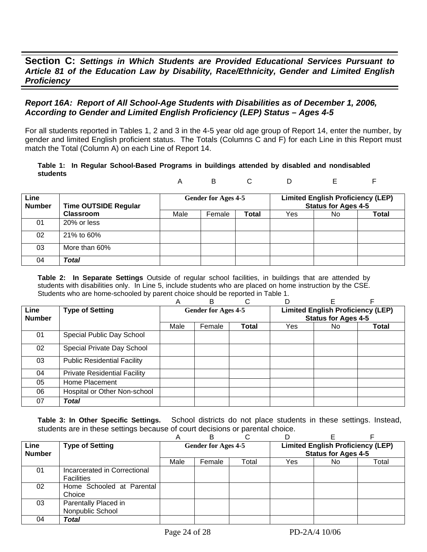## *Report 16A: Report of All School-Age Students with Disabilities as of December 1, 2006, According to Gender and Limited English Proficiency (LEP) Status – Ages 4-5*

For all students reported in Tables 1, 2 and 3 in the 4-5 year old age group of Report 14, enter the number, by gender and limited English proficient status. The Totals (Columns C and F) for each Line in this Report must match the Total (Column A) on each Line of Report 14.

#### **Table 1: In Regular School-Based Programs in buildings attended by disabled and nondisabled students**  A B C D E F

| Line<br><b>Number</b> | <b>Time OUTSIDE Regular</b> |      | <b>Gender for Ages 4-5</b> |              |     | <b>Limited English Proficiency (LEP)</b><br><b>Status for Ages 4-5</b> |       |
|-----------------------|-----------------------------|------|----------------------------|--------------|-----|------------------------------------------------------------------------|-------|
|                       | <b>Classroom</b>            | Male | Female                     | <b>Total</b> | Yes | No.                                                                    | Total |
| 01                    | 20% or less                 |      |                            |              |     |                                                                        |       |
| 02                    | 21% to 60%                  |      |                            |              |     |                                                                        |       |
| 03                    | More than 60%               |      |                            |              |     |                                                                        |       |
| 04                    | Total                       |      |                            |              |     |                                                                        |       |

**Table 2: In Separate Settings** Outside of regular school facilities, in buildings that are attended by students with disabilities only. In Line 5, include students who are placed on home instruction by the CSE. Students who are home-schooled by parent choice should be reported in Table 1.

|                       |                                     | Α                                                                      | В      | C            |                            |     |       |
|-----------------------|-------------------------------------|------------------------------------------------------------------------|--------|--------------|----------------------------|-----|-------|
| Line<br><b>Number</b> | <b>Type of Setting</b>              | <b>Limited English Proficiency (LEP)</b><br><b>Gender for Ages 4-5</b> |        |              | <b>Status for Ages 4-5</b> |     |       |
|                       |                                     | Male                                                                   | Female | <b>Total</b> | Yes.                       | No. | Total |
| 01                    | Special Public Day School           |                                                                        |        |              |                            |     |       |
| 02                    | Special Private Day School          |                                                                        |        |              |                            |     |       |
| 03                    | <b>Public Residential Facility</b>  |                                                                        |        |              |                            |     |       |
| 04                    | <b>Private Residential Facility</b> |                                                                        |        |              |                            |     |       |
| 05                    | Home Placement                      |                                                                        |        |              |                            |     |       |
| 06                    | Hospital or Other Non-school        |                                                                        |        |              |                            |     |       |
| 07                    | <b>Total</b>                        |                                                                        |        |              |                            |     |       |

|                       |                              | A                          |        | ⌒     |                                                                        |     |       |  |
|-----------------------|------------------------------|----------------------------|--------|-------|------------------------------------------------------------------------|-----|-------|--|
| Line<br><b>Number</b> | <b>Type of Setting</b>       | <b>Gender for Ages 4-5</b> |        |       | <b>Limited English Proficiency (LEP)</b><br><b>Status for Ages 4-5</b> |     |       |  |
|                       |                              |                            |        |       |                                                                        |     |       |  |
|                       |                              | Male                       | Female | Total | Yes                                                                    | No. | Total |  |
| 01                    | Incarcerated in Correctional |                            |        |       |                                                                        |     |       |  |
|                       | Facilities                   |                            |        |       |                                                                        |     |       |  |
| 02                    | Home Schooled at Parental    |                            |        |       |                                                                        |     |       |  |
|                       | Choice                       |                            |        |       |                                                                        |     |       |  |
| 03                    | Parentally Placed in         |                            |        |       |                                                                        |     |       |  |
|                       | Nonpublic School             |                            |        |       |                                                                        |     |       |  |
| 04                    | Total                        |                            |        |       |                                                                        |     |       |  |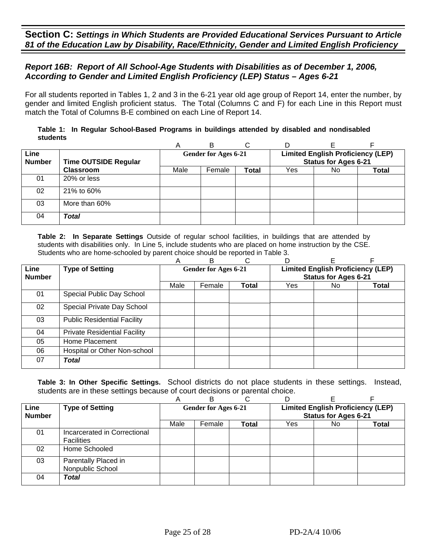## *Report 16B: Report of All School-Age Students with Disabilities as of December 1, 2006, According to Gender and Limited English Proficiency (LEP) Status – Ages 6-21*

For all students reported in Tables 1, 2 and 3 in the 6-21 year old age group of Report 14, enter the number, by gender and limited English proficient status. The Total (Columns C and F) for each Line in this Report must match the Total of Columns B-E combined on each Line of Report 14.

|          | Table 1: In Regular School-Based Programs in buildings attended by disabled and nondisabled |  |  |  |  |
|----------|---------------------------------------------------------------------------------------------|--|--|--|--|
| students |                                                                                             |  |  |  |  |

|                              |                             | Α    | В                           | С     | D                                                                       |     |       |  |
|------------------------------|-----------------------------|------|-----------------------------|-------|-------------------------------------------------------------------------|-----|-------|--|
| <b>Line</b><br><b>Number</b> | <b>Time OUTSIDE Regular</b> |      | <b>Gender for Ages 6-21</b> |       | <b>Limited English Proficiency (LEP)</b><br><b>Status for Ages 6-21</b> |     |       |  |
|                              | <b>Classroom</b>            | Male | Female                      | Total | Yes                                                                     | No. | Total |  |
| 01                           | 20% or less                 |      |                             |       |                                                                         |     |       |  |
| 02                           | 21% to 60%                  |      |                             |       |                                                                         |     |       |  |
| 03                           | More than 60%               |      |                             |       |                                                                         |     |       |  |
| 04                           | Total                       |      |                             |       |                                                                         |     |       |  |

**Table 2: In Separate Settings** Outside of regular school facilities, in buildings that are attended by students with disabilities only. In Line 5, include students who are placed on home instruction by the CSE. Students who are home-schooled by parent choice should be reported in Table 3.

|                       |                                     | Α                                                                       | в      | С            | D                           |     |       |
|-----------------------|-------------------------------------|-------------------------------------------------------------------------|--------|--------------|-----------------------------|-----|-------|
| Line<br><b>Number</b> | <b>Type of Setting</b>              | <b>Limited English Proficiency (LEP)</b><br><b>Gender for Ages 6-21</b> |        |              | <b>Status for Ages 6-21</b> |     |       |
|                       |                                     | Male                                                                    | Female | <b>Total</b> | Yes                         | No. | Total |
| 01                    | Special Public Day School           |                                                                         |        |              |                             |     |       |
| 02                    | Special Private Day School          |                                                                         |        |              |                             |     |       |
| 03                    | <b>Public Residential Facility</b>  |                                                                         |        |              |                             |     |       |
| 04                    | <b>Private Residential Facility</b> |                                                                         |        |              |                             |     |       |
| 05                    | Home Placement                      |                                                                         |        |              |                             |     |       |
| 06                    | Hospital or Other Non-school        |                                                                         |        |              |                             |     |       |
| 07                    | Total                               |                                                                         |        |              |                             |     |       |

|               |                              | Α    | R                           |              |                                          |     |       |  |
|---------------|------------------------------|------|-----------------------------|--------------|------------------------------------------|-----|-------|--|
| <b>Line</b>   | <b>Type of Setting</b>       |      | <b>Gender for Ages 6-21</b> |              | <b>Limited English Proficiency (LEP)</b> |     |       |  |
| <b>Number</b> |                              |      |                             |              | <b>Status for Ages 6-21</b>              |     |       |  |
|               |                              | Male | Female                      | <b>Total</b> | Yes                                      | No. | Total |  |
| 01            | Incarcerated in Correctional |      |                             |              |                                          |     |       |  |
|               | <b>Facilities</b>            |      |                             |              |                                          |     |       |  |
| 02            | Home Schooled                |      |                             |              |                                          |     |       |  |
| 03            | Parentally Placed in         |      |                             |              |                                          |     |       |  |
|               | Nonpublic School             |      |                             |              |                                          |     |       |  |
| 04            | Total                        |      |                             |              |                                          |     |       |  |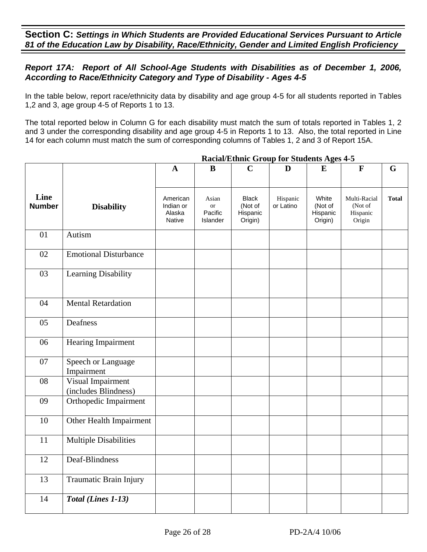# *Report 17A: Report of All School-Age Students with Disabilities as of December 1, 2006, According to Race/Ethnicity Category and Type of Disability - Ages 4-5*

In the table below, report race/ethnicity data by disability and age group 4-5 for all students reported in Tables 1,2 and 3, age group 4-5 of Reports 1 to 13.

The total reported below in Column G for each disability must match the sum of totals reported in Tables 1, 2 and 3 under the corresponding disability and age group 4-5 in Reports 1 to 13. Also, the total reported in Line 14 for each column must match the sum of corresponding columns of Tables 1, 2 and 3 of Report 15A.

|                       |                                           | $\mathbf A$                               | $\bf{B}$                                      | $\mathbf C$                                    | D                     | $\bf{E}$                                | $\mathbf F$                                   | G            |
|-----------------------|-------------------------------------------|-------------------------------------------|-----------------------------------------------|------------------------------------------------|-----------------------|-----------------------------------------|-----------------------------------------------|--------------|
| Line<br><b>Number</b> | <b>Disability</b>                         | American<br>Indian or<br>Alaska<br>Native | Asian<br><sub>or</sub><br>Pacific<br>Islander | <b>Black</b><br>(Not of<br>Hispanic<br>Origin) | Hispanic<br>or Latino | White<br>(Not of<br>Hispanic<br>Origin) | Multi-Racial<br>(Not of<br>Hispanic<br>Origin | <b>Total</b> |
| 01                    | Autism                                    |                                           |                                               |                                                |                       |                                         |                                               |              |
| 02                    | <b>Emotional Disturbance</b>              |                                           |                                               |                                                |                       |                                         |                                               |              |
| 03                    | Learning Disability                       |                                           |                                               |                                                |                       |                                         |                                               |              |
| 04                    | <b>Mental Retardation</b>                 |                                           |                                               |                                                |                       |                                         |                                               |              |
| 05                    | Deafness                                  |                                           |                                               |                                                |                       |                                         |                                               |              |
| 06                    | Hearing Impairment                        |                                           |                                               |                                                |                       |                                         |                                               |              |
| 07                    | Speech or Language<br>Impairment          |                                           |                                               |                                                |                       |                                         |                                               |              |
| 08                    | Visual Impairment<br>(includes Blindness) |                                           |                                               |                                                |                       |                                         |                                               |              |
| 09                    | Orthopedic Impairment                     |                                           |                                               |                                                |                       |                                         |                                               |              |
| 10                    | Other Health Impairment                   |                                           |                                               |                                                |                       |                                         |                                               |              |
| 11                    | <b>Multiple Disabilities</b>              |                                           |                                               |                                                |                       |                                         |                                               |              |
| 12                    | Deaf-Blindness                            |                                           |                                               |                                                |                       |                                         |                                               |              |
| 13                    | Traumatic Brain Injury                    |                                           |                                               |                                                |                       |                                         |                                               |              |
| 14                    | Total (Lines 1-13)                        |                                           |                                               |                                                |                       |                                         |                                               |              |

### **Racial/Ethnic Group for Students Ages 4-5**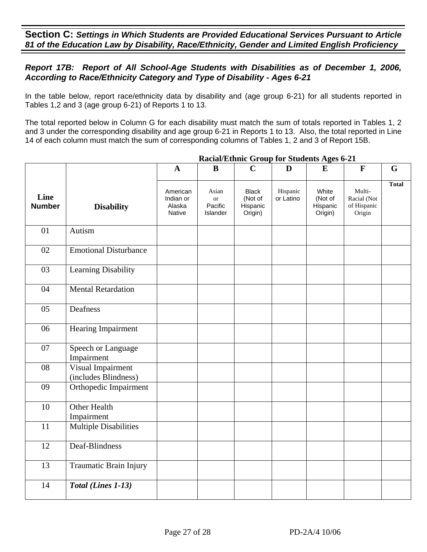# *Report 17B: Report of All School-Age Students with Disabilities as of December 1, 2006, According to Race/Ethnicity Category and Type of Disability - Ages 6-21*

In the table below, report race/ethnicity data by disability and (age group 6-21) for all students reported in Tables 1,2 and 3 (age group 6-21) of Reports 1 to 13.

The total reported below in Column G for each disability must match the sum of totals reported in Tables 1, 2 and 3 under the corresponding disability and age group 6-21 in Reports 1 to 13. Also, the total reported in Line 14 of each column must match the sum of corresponding columns of Tables 1, 2 and 3 of Report 15B.

|                       |                                           | $\mathbf{A}$                              | B                                         | $\mathbf C$                                    | D                     | E                                       | $\mathbf{F}$                                   | G            |
|-----------------------|-------------------------------------------|-------------------------------------------|-------------------------------------------|------------------------------------------------|-----------------------|-----------------------------------------|------------------------------------------------|--------------|
| Line<br><b>Number</b> | <b>Disability</b>                         | American<br>Indian or<br>Alaska<br>Native | Asian<br><b>or</b><br>Pacific<br>Islander | <b>Black</b><br>(Not of<br>Hispanic<br>Origin) | Hispanic<br>or Latino | White<br>(Not of<br>Hispanic<br>Origin) | Multi-<br>Racial (Not<br>of Hispanic<br>Origin | <b>Total</b> |
| 01                    | Autism                                    |                                           |                                           |                                                |                       |                                         |                                                |              |
| 02                    | <b>Emotional Disturbance</b>              |                                           |                                           |                                                |                       |                                         |                                                |              |
| 03                    | Learning Disability                       |                                           |                                           |                                                |                       |                                         |                                                |              |
| 04                    | <b>Mental Retardation</b>                 |                                           |                                           |                                                |                       |                                         |                                                |              |
| 05                    | Deafness                                  |                                           |                                           |                                                |                       |                                         |                                                |              |
| 06                    | Hearing Impairment                        |                                           |                                           |                                                |                       |                                         |                                                |              |
| 07                    | Speech or Language<br>Impairment          |                                           |                                           |                                                |                       |                                         |                                                |              |
| 08                    | Visual Impairment<br>(includes Blindness) |                                           |                                           |                                                |                       |                                         |                                                |              |
| 09                    | Orthopedic Impairment                     |                                           |                                           |                                                |                       |                                         |                                                |              |
| 10                    | <b>Other Health</b><br>Impairment         |                                           |                                           |                                                |                       |                                         |                                                |              |
| 11                    | <b>Multiple Disabilities</b>              |                                           |                                           |                                                |                       |                                         |                                                |              |
| 12                    | Deaf-Blindness                            |                                           |                                           |                                                |                       |                                         |                                                |              |
| 13                    | Traumatic Brain Injury                    |                                           |                                           |                                                |                       |                                         |                                                |              |
| 14                    | Total (Lines 1-13)                        |                                           |                                           |                                                |                       |                                         |                                                |              |

### **Racial/Ethnic Group for Students Ages 6-21**